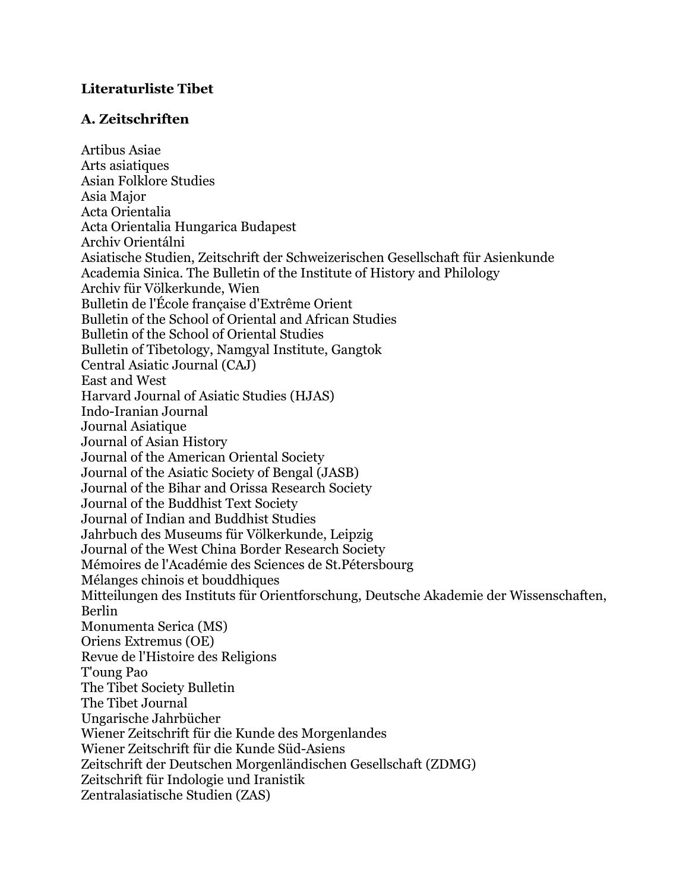#### **Literaturliste Tibet**

#### **A. Zeitschriften**

Artibus Asiae Arts asiatiques Asian Folklore Studies Asia Major Acta Orientalia Acta Orientalia Hungarica Budapest Archiv Orientálni Asiatische Studien, Zeitschrift der Schweizerischen Gesellschaft für Asienkunde Academia Sinica. The Bulletin of the Institute of History and Philology Archiv für Völkerkunde, Wien Bulletin de l'École française d'Extrême Orient Bulletin of the School of Oriental and African Studies Bulletin of the School of Oriental Studies Bulletin of Tibetology, Namgyal Institute, Gangtok Central Asiatic Journal (CAJ) East and West Harvard Journal of Asiatic Studies (HJAS) Indo-Iranian Journal Journal Asiatique Journal of Asian History Journal of the American Oriental Society Journal of the Asiatic Society of Bengal (JASB) Journal of the Bihar and Orissa Research Society Journal of the Buddhist Text Society Journal of Indian and Buddhist Studies Jahrbuch des Museums für Völkerkunde, Leipzig Journal of the West China Border Research Society Mémoires de l'Académie des Sciences de St.Pétersbourg Mélanges chinois et bouddhiques Mitteilungen des Instituts für Orientforschung, Deutsche Akademie der Wissenschaften, Berlin Monumenta Serica (MS) Oriens Extremus (OE) Revue de l'Histoire des Religions T'oung Pao The Tibet Society Bulletin The Tibet Journal Ungarische Jahrbücher Wiener Zeitschrift für die Kunde des Morgenlandes Wiener Zeitschrift für die Kunde Süd-Asiens Zeitschrift der Deutschen Morgenländischen Gesellschaft (ZDMG) Zeitschrift für Indologie und Iranistik Zentralasiatische Studien (ZAS)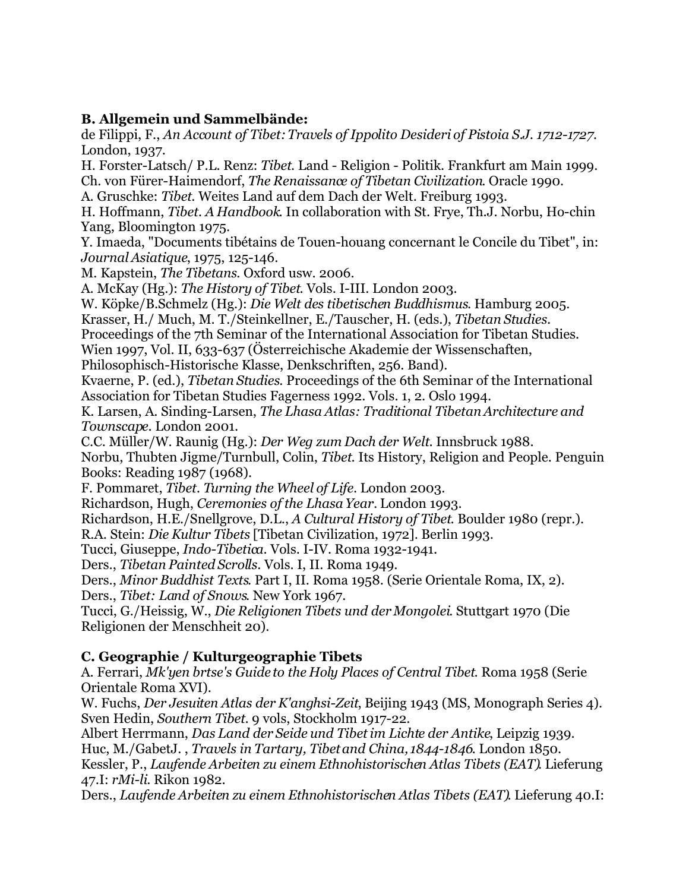#### **B. Allgemein und Sammelbände:**

de Filippi, F., *An Account of Tibet: Travels of Ippolito Desideri of Pistoia S.J. 1712-1727.* London, 1937.

H. Forster-Latsch/ P.L. Renz: *Tibet*. Land - Religion - Politik. Frankfurt am Main 1999. Ch. von Fürer-Haimendorf, *The Renaissance of Tibetan Civilization*. Oracle 1990.

A. Gruschke: *Tibet*. Weites Land auf dem Dach der Welt. Freiburg 1993.

H. Hoffmann, *Tibet. A Handbook*. In collaboration with St. Frye, Th.J. Norbu, Ho-chin Yang, Bloomington 1975.

Y. Imaeda, "Documents tibétains de Touen-houang concernant le Concile du Tibet", in: *Journal Asiatique*, 1975, 125-146.

M. Kapstein, *The Tibetans*. Oxford usw. 2006.

A. McKay (Hg.): *The History of Tibet*. Vols. I-III. London 2003.

W. Köpke/B.Schmelz (Hg.): *Die Welt des tibetischen Buddhismus*. Hamburg 2005.

Krasser, H./ Much, M. T./Steinkellner, E./Tauscher, H. (eds.), *Tibetan Studies.*

Proceedings of the 7th Seminar of the International Association for Tibetan Studies.

Wien 1997, Vol. II, 633-637 (Österreichische Akademie der Wissenschaften,

Philosophisch-Historische Klasse, Denkschriften, 256. Band).

Kvaerne, P. (ed.), *Tibetan Studies*. Proceedings of the 6th Seminar of the International Association for Tibetan Studies Fagerness 1992. Vols. 1, 2. Oslo 1994.

K. Larsen, A. Sinding-Larsen, *The Lhasa Atlas: Traditional Tibetan Architecture and Townscape*. London 2001.

C.C. Müller/W. Raunig (Hg.): *Der Weg zum Dach der Welt*. Innsbruck 1988.

Norbu, Thubten Jigme/Turnbull, Colin, *Tibet*. Its History, Religion and People. Penguin Books: Reading 1987 (1968).

F. Pommaret, *Tibet. Turning the Wheel of Life*. London 2003.

Richardson, Hugh, *Ceremonies of the Lhasa Year.* London 1993.

Richardson, H.E./Snellgrove, D.L., *A Cultural History of Tibet*. Boulder 1980 (repr.).

R.A. Stein: *Die Kultur Tibets* [Tibetan Civilization, 1972]. Berlin 1993.

Tucci, Giuseppe, *Indo-Tibetica*. Vols. I-IV. Roma 1932-1941.

Ders., *Tibetan Painted Scrolls*. Vols. I, II. Roma 1949.

Ders., *Minor Buddhist Texts*. Part I, II. Roma 1958. (Serie Orientale Roma, IX, 2). Ders., *Tibet: Land of Snows*. New York 1967.

Tucci, G./Heissig, W., *Die Religionen Tibets und der Mongolei*. Stuttgart 1970 (Die Religionen der Menschheit 20).

# **C. Geographie / Kulturgeographie Tibets**

A. Ferrari, *Mk'yen brtse's Guide to the Holy Places of Central Tibet*. Roma 1958 (Serie Orientale Roma XVI).

W. Fuchs, *Der Jesuiten Atlas der K'anghsi-Zeit*, Beijing 1943 (MS, Monograph Series 4). Sven Hedin, *Southern Tibet*. 9 vols, Stockholm 1917-22.

Albert Herrmann, *Das Land der Seide und Tibet im Lichte der Antike*, Leipzig 1939. Huc, M./GabetJ. , *Travels in Tartary, Tibet and China, 1844-1846.* London 1850. Kessler, P., *Laufende Arbeiten zu einem Ethnohistorischen Atlas Tibets (EAT)*. Lieferung 47.I: *rMi-li*. Rikon 1982.

Ders., *Laufende Arbeiten zu einem Ethnohistorischen Atlas Tibets (EAT)*. Lieferung 40.I: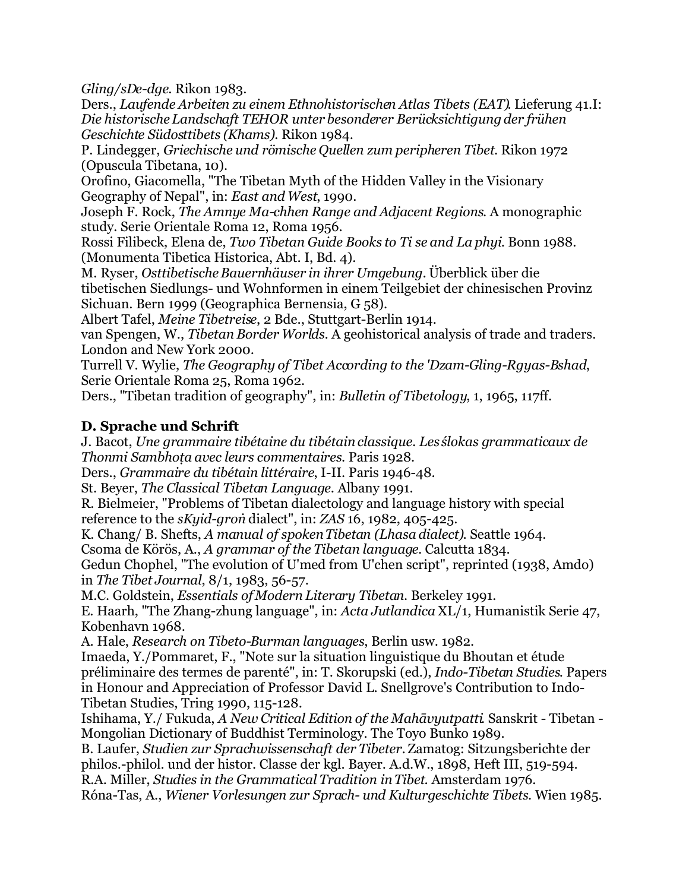*Gling/sDe-dge*. Rikon 1983.

Ders., *Laufende Arbeiten zu einem Ethnohistorischen Atlas Tibets (EAT)*. Lieferung 41.I: *Die historische Landschaft TEHOR unter besonderer Berücksichtigung der frühen Geschichte Südosttibets (Khams)*. Rikon 1984.

P. Lindegger, *Griechische und römische Quellen zum peripheren Tibet*. Rikon 1972 (Opuscula Tibetana, 10).

Orofino, Giacomella, "The Tibetan Myth of the Hidden Valley in the Visionary Geography of Nepal", in: *East and West*, 1990.

Joseph F. Rock, *The Amnye Ma-chhen Range and Adjacent Regions*. A monographic study. Serie Orientale Roma 12, Roma 1956.

Rossi Filibeck, Elena de, *Two Tibetan Guide Books to Ti se and La phyi*. Bonn 1988. (Monumenta Tibetica Historica, Abt. I, Bd. 4).

M. Ryser, *Osttibetische Bauernhäuser in ihrer Umgebung.* Überblick über die tibetischen Siedlungs- und Wohnformen in einem Teilgebiet der chinesischen Provinz Sichuan. Bern 1999 (Geographica Bernensia, G 58).

Albert Tafel, *Meine Tibetreise*, 2 Bde., Stuttgart-Berlin 1914.

van Spengen, W., *Tibetan Border Worlds.* A geohistorical analysis of trade and traders. London and New York 2000.

Turrell V. Wylie, *The Geography of Tibet According to the 'Dzam-Gling-Rgyas-Bshad*, Serie Orientale Roma 25, Roma 1962.

Ders., "Tibetan tradition of geography", in: *Bulletin of Tibetology*, 1, 1965, 117ff.

#### **D. Sprache und Schrift**

J. Bacot, *Une grammaire tibétaine du tibétain classique. Les ślokas grammaticaux de Thonmi Sambhoṭa avec leurs commentaires*. Paris 1928.

Ders., *Grammaire du tibétain littéraire*, I-II. Paris 1946-48.

St. Beyer, *The Classical Tibetan Language*. Albany 1991.

R. Bielmeier, "Problems of Tibetan dialectology and language history with special reference to the *sKyid-groṅ* dialect", in: *ZAS* 16, 1982, 405-425.

K. Chang/ B. Shefts, *A manual of spoken Tibetan (Lhasa dialect)*. Seattle 1964.

Csoma de Körös, A., *A grammar of the Tibetan language.* Calcutta 1834.

Gedun Chophel, "The evolution of U'med from U'chen script", reprinted (1938, Amdo) in *The Tibet Journal*, 8/1, 1983, 56-57.

M.C. Goldstein, *Essentials of Modern Literary Tibetan*. Berkeley 1991.

E. Haarh, "The Zhang-zhung language", in: *Acta Jutlandica* XL/1, Humanistik Serie 47, Kobenhavn 1968.

A. Hale, *Research on Tibeto-Burman languages*, Berlin usw. 1982.

Imaeda, Y./Pommaret, F., "Note sur la situation linguistique du Bhoutan et étude préliminaire des termes de parenté", in: T. Skorupski (ed.), *Indo-Tibetan Studies*. Papers in Honour and Appreciation of Professor David L. Snellgrove's Contribution to Indo-Tibetan Studies, Tring 1990, 115-128.

Ishihama, Y./ Fukuda, *A New Critical Edition of the Mahāvyutpatti*. Sanskrit - Tibetan - Mongolian Dictionary of Buddhist Terminology. The Toyo Bunko 1989.

B. Laufer, *Studien zur Sprachwissenschaft der Tibeter.* Zamatog: Sitzungsberichte der philos.-philol. und der histor. Classe der kgl. Bayer. A.d.W., 1898, Heft III, 519-594.

R.A. Miller, *Studies in the Grammatical Tradition in Tibet*. Amsterdam 1976. Róna-Tas, A., *Wiener Vorlesungen zur Sprach- und Kulturgeschichte Tibets*. Wien 1985.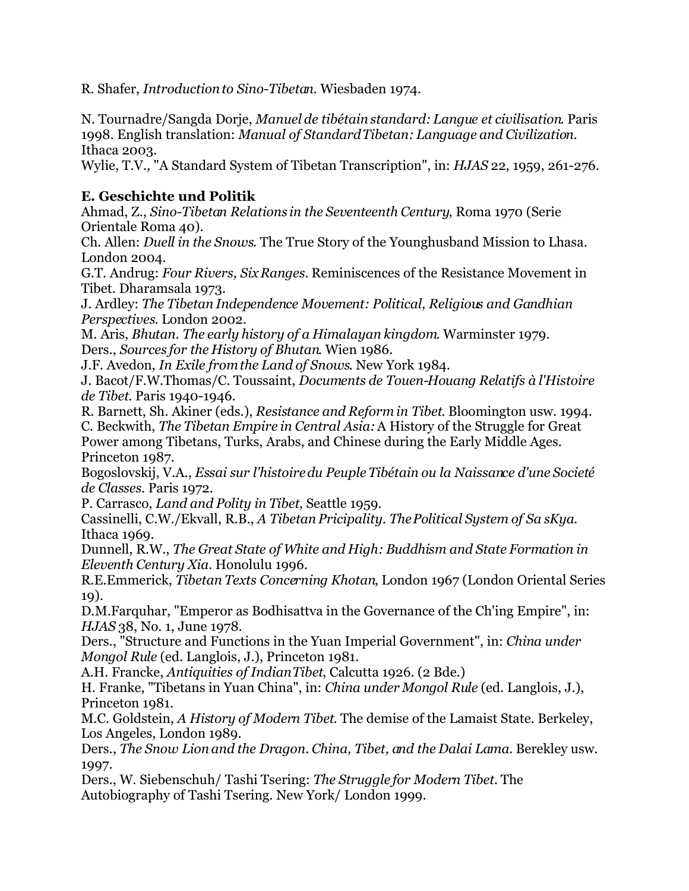R. Shafer, *Introduction to Sino-Tibetan*. Wiesbaden 1974.

N. Tournadre/Sangda Dorje, *Manuel de tibétain standard: Langue et civilisation*. Paris 1998. English translation: *Manual of Standard Tibetan: Language and Civilization*. Ithaca 2003.

Wylie, T.V., "A Standard System of Tibetan Transcription", in: *HJAS* 22, 1959, 261-276.

#### **E. Geschichte und Politik**

Ahmad, Z., *Sino-Tibetan Relations in the Seventeenth Century*, Roma 1970 (Serie Orientale Roma 40).

Ch. Allen: *Duell in the Snows*. The True Story of the Younghusband Mission to Lhasa. London 2004.

G.T. Andrug: *Four Rivers, Six Ranges.* Reminiscences of the Resistance Movement in Tibet. Dharamsala 1973.

J. Ardley: *The Tibetan Independence Movement: Political, Religious and Gandhian Perspectives*. London 2002.

M. Aris, *Bhutan. The early history of a Himalayan kingdom*. Warminster 1979. Ders., *Sources for the History of Bhutan*. Wien 1986.

J.F. Avedon, *In Exile from the Land of Snows*. New York 1984.

J. Bacot/F.W.Thomas/C. Toussaint, *Documents de Touen-Houang Relatifs à l'Histoire de Tibet*. Paris 1940-1946.

R. Barnett, Sh. Akiner (eds.), *Resistance and Reform in Tibet*. Bloomington usw. 1994. C. Beckwith, *The Tibetan Empire in Central Asia:*A History of the Struggle for Great Power among Tibetans, Turks, Arabs, and Chinese during the Early Middle Ages. Princeton 1987.

Bogoslovskij, V.A., *Essai sur l'histoire du Peuple Tibétain ou la Naissance d'une Societé de Classes*. Paris 1972.

P. Carrasco, *Land and Polity in Tibet*, Seattle 1959.

Cassinelli, C.W./Ekvall, R.B., *A Tibetan Pricipality. The Political System of Sa sKya*. Ithaca 1969.

Dunnell, R.W., *The Great State of White and High: Buddhism and State Formation in Eleventh Century Xia.* Honolulu 1996.

R.E.Emmerick, *Tibetan Texts Concerning Khotan*, London 1967 (London Oriental Series 19).

D.M.Farquhar, "Emperor as Bodhisattva in the Governance of the Ch'ing Empire", in: *HJAS* 38, No. 1, June 1978.

Ders., "Structure and Functions in the Yuan Imperial Government", in: *China under Mongol Rule* (ed. Langlois, J.), Princeton 1981.

A.H. Francke, *Antiquities of Indian Tibet*, Calcutta 1926. (2 Bde.)

H. Franke, "Tibetans in Yuan China", in: *China under Mongol Rule* (ed. Langlois, J.), Princeton 1981.

M.C. Goldstein, *A History of Modern Tibet*. The demise of the Lamaist State. Berkeley, Los Angeles, London 1989.

Ders., *The Snow Lion and the Dragon. China, Tibet, and the Dalai Lama*. Berekley usw. 1997.

Ders., W. Siebenschuh/ Tashi Tsering: *The Struggle for Modern Tibet.* The Autobiography of Tashi Tsering. New York/ London 1999.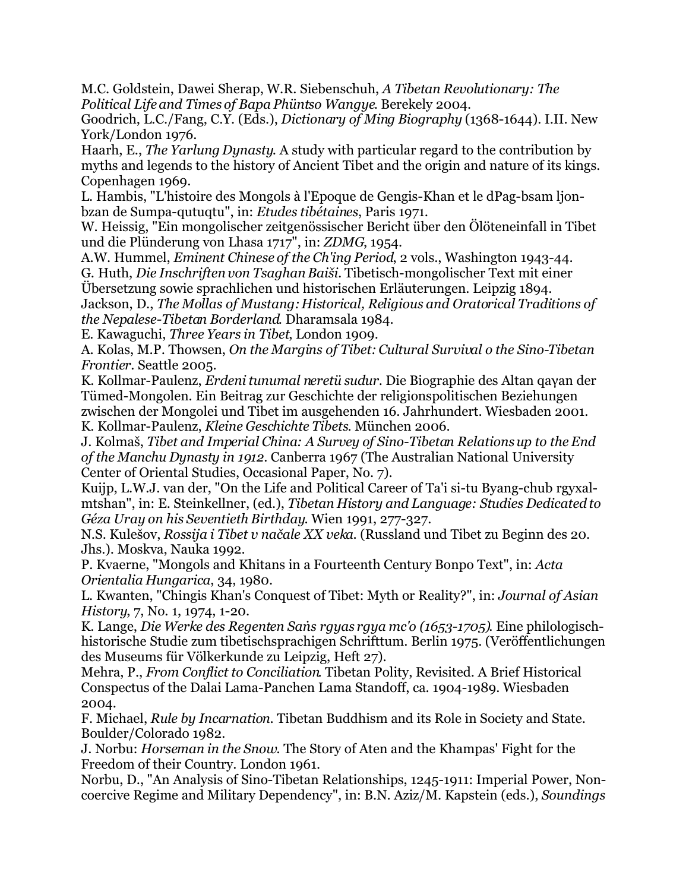M.C. Goldstein, Dawei Sherap, W.R. Siebenschuh, *A Tibetan Revolutionary: The Political Life and Times of Bapa Phüntso Wangye*. Berekely 2004.

Goodrich, L.C./Fang, C.Y. (Eds.), *Dictionary of Ming Biography* (1368-1644). I.II. New York/London 1976.

Haarh, E., *The Yarlung Dynasty*. A study with particular regard to the contribution by myths and legends to the history of Ancient Tibet and the origin and nature of its kings. Copenhagen 1969.

L. Hambis, "L'histoire des Mongols à l'Epoque de Gengis-Khan et le dPag-bsam ljonbzan de Sumpa-qutuqtu", in: *Etudes tibétaines*, Paris 1971.

W. Heissig, "Ein mongolischer zeitgenössischer Bericht über den Ölöteneinfall in Tibet und die Plünderung von Lhasa 1717", in: *ZDMG*, 1954.

A.W. Hummel, *Eminent Chinese of the Ch'ing Period*, 2 vols., Washington 1943-44. G. Huth, *Die Inschriften von Tsaghan Baiši.* Tibetisch-mongolischer Text mit einer

Übersetzung sowie sprachlichen und historischen Erläuterungen. Leipzig 1894. Jackson, D., *The Mollas of Mustang: Historical, Religious and Oratorical Traditions of the Nepalese-Tibetan Borderland*. Dharamsala 1984.

E. Kawaguchi, *Three Years in Tibet*, London 1909.

A. Kolas, M.P. Thowsen, *On the Margins of Tibet: Cultural Survival o the Sino-Tibetan Frontier*. Seattle 2005.

K. Kollmar-Paulenz, *Erdeni tunumal neretü sudur*. Die Biographie des Altan qaγan der Tümed-Mongolen. Ein Beitrag zur Geschichte der religionspolitischen Beziehungen zwischen der Mongolei und Tibet im ausgehenden 16. Jahrhundert. Wiesbaden 2001. K. Kollmar-Paulenz, *Kleine Geschichte Tibets*. München 2006.

J. Kolmaš, *Tibet and Imperial China: A Survey of Sino-Tibetan Relations up to the End of the Manchu Dynasty in 1912*. Canberra 1967 (The Australian National University Center of Oriental Studies, Occasional Paper, No. 7).

Kuijp, L.W.J. van der, "On the Life and Political Career of Ta'i si-tu Byang-chub rgyxalmtshan", in: E. Steinkellner, (ed.), *Tibetan History and Language: Studies Dedicated to Géza Uray on his Seventieth Birthday*. Wien 1991, 277-327.

N.S. Kulešov, *Rossija i Tibet v načale XX veka*. (Russland und Tibet zu Beginn des 20. Jhs.). Moskva, Nauka 1992.

P. Kvaerne, "Mongols and Khitans in a Fourteenth Century Bonpo Text", in: *Acta Orientalia Hungarica*, 34, 1980.

L. Kwanten, "Chingis Khan's Conquest of Tibet: Myth or Reality?", in: *Journal of Asian History*, 7, No. 1, 1974, 1-20.

K. Lange, *Die Werke des Regenten Saṅs rgyas rgya mc'o (1653-1705)*. Eine philologischhistorische Studie zum tibetischsprachigen Schrifttum. Berlin 1975. (Veröffentlichungen des Museums für Völkerkunde zu Leipzig, Heft 27).

Mehra, P., *From Conflict to Conciliation*. Tibetan Polity, Revisited. A Brief Historical Conspectus of the Dalai Lama-Panchen Lama Standoff, ca. 1904-1989. Wiesbaden 2004.

F. Michael, *Rule by Incarnation*. Tibetan Buddhism and its Role in Society and State. Boulder/Colorado 1982.

J. Norbu: *Horseman in the Snow.* The Story of Aten and the Khampas' Fight for the Freedom of their Country. London 1961.

Norbu, D., "An Analysis of Sino-Tibetan Relationships, 1245-1911: Imperial Power, Noncoercive Regime and Military Dependency", in: B.N. Aziz/M. Kapstein (eds.), *Soundings*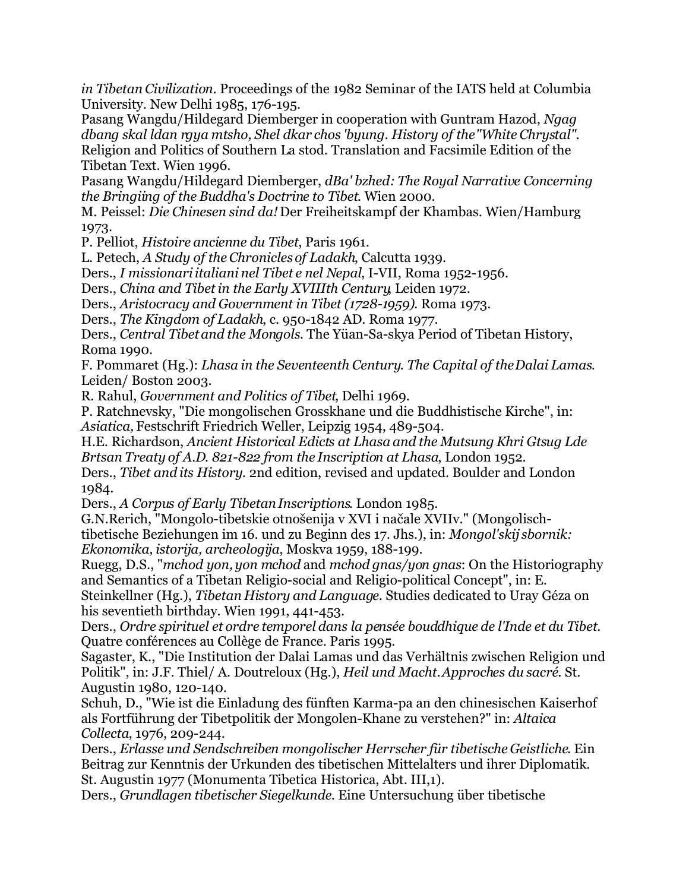*in Tibetan Civilization*. Proceedings of the 1982 Seminar of the IATS held at Columbia University. New Delhi 1985, 176-195.

Pasang Wangdu/Hildegard Diemberger in cooperation with Guntram Hazod, *Ngag dbang skal ldan rgya mtsho, Shel dkar chos 'byung. History of the "White Chrystal"*. Religion and Politics of Southern La stod. Translation and Facsimile Edition of the Tibetan Text. Wien 1996.

Pasang Wangdu/Hildegard Diemberger, *dBa' bzhed: The Royal Narrative Concerning the Bringiing of the Buddha's Doctrine to Tibet*. Wien 2000.

M. Peissel: *Die Chinesen sind da!* Der Freiheitskampf der Khambas. Wien/Hamburg 1973.

P. Pelliot, *Histoire ancienne du Tibet*, Paris 1961.

L. Petech, *A Study of the Chronicles of Ladakh*, Calcutta 1939.

Ders., *I missionari italiani nel Tibet e nel Nepal*, I-VII, Roma 1952-1956.

Ders., *China and Tibet in the Early XVIIIth Century*, Leiden 1972.

Ders., *Aristocracy and Government in Tibet (1728-1959).* Roma 1973.

Ders., *The Kingdom of Ladakh*, c. 950-1842 AD. Roma 1977.

Ders., *Central Tibet and the Mongols*. The Yüan-Sa-skya Period of Tibetan History, Roma 1990.

F. Pommaret (Hg.): *Lhasa in the Seventeenth Century. The Capital of the Dalai Lamas*. Leiden/ Boston 2003.

R. Rahul, *Government and Politics of Tibet*, Delhi 1969.

P. Ratchnevsky, "Die mongolischen Grosskhane und die Buddhistische Kirche", in: *Asiatica,* Festschrift Friedrich Weller, Leipzig 1954, 489-504.

H.E. Richardson, *Ancient Historical Edicts at Lhasa and the Mutsung Khri Gtsug Lde Brtsan Treaty of A.D. 821-822 from the Inscription at Lhasa*, London 1952.

Ders., *Tibet and its History*. 2nd edition, revised and updated. Boulder and London 1984.

Ders., *A Corpus of Early Tibetan Inscriptions*. London 1985.

G.N.Rerich, "Mongolo-tibetskie otnošenija v XVI i načale XVIIv." (Mongolischtibetische Beziehungen im 16. und zu Beginn des 17. Jhs.), in: *Mongol'skij sbornik: Ekonomika, istorija, archeologija*, Moskva 1959, 188-199.

Ruegg, D.S., "*mchod yon, yon mchod* and *mchod gnas/yon gnas*: On the Historiography and Semantics of a Tibetan Religio-social and Religio-political Concept", in: E. Steinkellner (Hg.), *Tibetan History and Language*. Studies dedicated to Uray Géza on

his seventieth birthday. Wien 1991, 441-453. Ders., *Ordre spirituel et ordre temporel dans la pensée bouddhique de l'Inde et du Tibet*. Quatre conférences au Collège de France. Paris 1995.

Sagaster, K., "Die Institution der Dalai Lamas und das Verhältnis zwischen Religion und Politik", in: J.F. Thiel/ A. Doutreloux (Hg.), *Heil und Macht. Approches du sacré*. St. Augustin 1980, 120-140.

Schuh, D., "Wie ist die Einladung des fünften Karma-pa an den chinesischen Kaiserhof als Fortführung der Tibetpolitik der Mongolen-Khane zu verstehen?" in: *Altaica Collecta*, 1976, 209-244.

Ders., *Erlasse und Sendschreiben mongolischer Herrscher für tibetische Geistliche*. Ein Beitrag zur Kenntnis der Urkunden des tibetischen Mittelalters und ihrer Diplomatik. St. Augustin 1977 (Monumenta Tibetica Historica, Abt. III,1).

Ders., *Grundlagen tibetischer Siegelkunde*. Eine Untersuchung über tibetische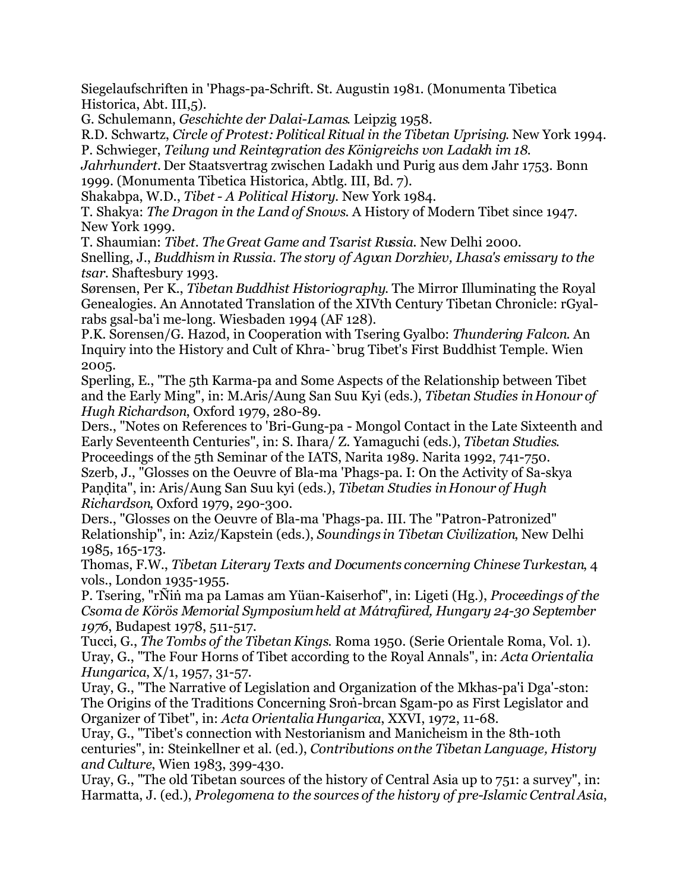Siegelaufschriften in 'Phags-pa-Schrift. St. Augustin 1981. (Monumenta Tibetica Historica, Abt. III,5).

G. Schulemann, *Geschichte der Dalai-Lamas*. Leipzig 1958.

R.D. Schwartz, *Circle of Protest: Political Ritual in the Tibetan Uprising*. New York 1994. P. Schwieger, *Teilung und Reintegration des Königreichs von Ladakh im 18.*

*Jahrhundert.* Der Staatsvertrag zwischen Ladakh und Purig aus dem Jahr 1753. Bonn 1999. (Monumenta Tibetica Historica, Abtlg. III, Bd. 7).

Shakabpa, W.D., *Tibet - A Political History*. New York 1984.

T. Shakya: *The Dragon in the Land of Snows*. A History of Modern Tibet since 1947. New York 1999.

T. Shaumian: *Tibet. The Great Game and Tsarist Russia*. New Delhi 2000.

Snelling, J., *Buddhism in Russia. The story of Agvan Dorzhiev, Lhasa's emissary to the tsar*. Shaftesbury 1993.

Sørensen, Per K., *Tibetan Buddhist Historiography*. The Mirror Illuminating the Royal Genealogies. An Annotated Translation of the XIVth Century Tibetan Chronicle: rGyalrabs gsal-ba'i me-long. Wiesbaden 1994 (AF 128).

P.K. Sorensen/G. Hazod, in Cooperation with Tsering Gyalbo: *Thundering Falcon*. An Inquiry into the History and Cult of Khra-`brug Tibet's First Buddhist Temple. Wien 2005.

Sperling, E., "The 5th Karma-pa and Some Aspects of the Relationship between Tibet and the Early Ming", in: M.Aris/Aung San Suu Kyi (eds.), *Tibetan Studies in Honour of Hugh Richardson*, Oxford 1979, 280-89.

Ders., "Notes on References to 'Bri-Gung-pa - Mongol Contact in the Late Sixteenth and Early Seventeenth Centuries", in: S. Ihara/ Z. Yamaguchi (eds.), *Tibetan Studies*. Proceedings of the 5th Seminar of the IATS, Narita 1989. Narita 1992, 741-750.

Szerb, J., "Glosses on the Oeuvre of Bla-ma 'Phags-pa. I: On the Activity of Sa-skya Paṇḍita", in: Aris/Aung San Suu kyi (eds.), *Tibetan Studies in Honour of Hugh Richardson*, Oxford 1979, 290-300.

Ders., "Glosses on the Oeuvre of Bla-ma 'Phags-pa. III. The "Patron-Patronized" Relationship", in: Aziz/Kapstein (eds.), *Soundings in Tibetan Civilization*, New Delhi 1985, 165-173.

Thomas, F.W., *Tibetan Literary Texts and Documents concerning Chinese Turkestan*, 4 vols., London 1935-1955.

P. Tsering, "rÑiṅ ma pa Lamas am Yüan-Kaiserhof", in: Ligeti (Hg.), *Proceedings of the Csoma de Körös Memorial Symposium held at Mátrafüred, Hungary 24-30 September 1976*, Budapest 1978, 511-517.

Tucci, G., *The Tombs of the Tibetan Kings*. Roma 1950. (Serie Orientale Roma, Vol. 1). Uray, G., "The Four Horns of Tibet according to the Royal Annals", in: *Acta Orientalia Hungarica*, X/1, 1957, 31-57.

Uray, G., "The Narrative of Legislation and Organization of the Mkhas-pa'i Dga'-ston: The Origins of the Traditions Concerning Sroṅ-brcan Sgam-po as First Legislator and Organizer of Tibet", in: *Acta Orientalia Hungarica*, XXVI, 1972, 11-68.

Uray, G., "Tibet's connection with Nestorianism and Manicheism in the 8th-10th centuries", in: Steinkellner et al. (ed.), *Contributions on the Tibetan Language, History and Culture*, Wien 1983, 399-430.

Uray, G., "The old Tibetan sources of the history of Central Asia up to 751: a survey", in: Harmatta, J. (ed.), *Prolegomena to the sources of the history of pre-Islamic Central Asia*,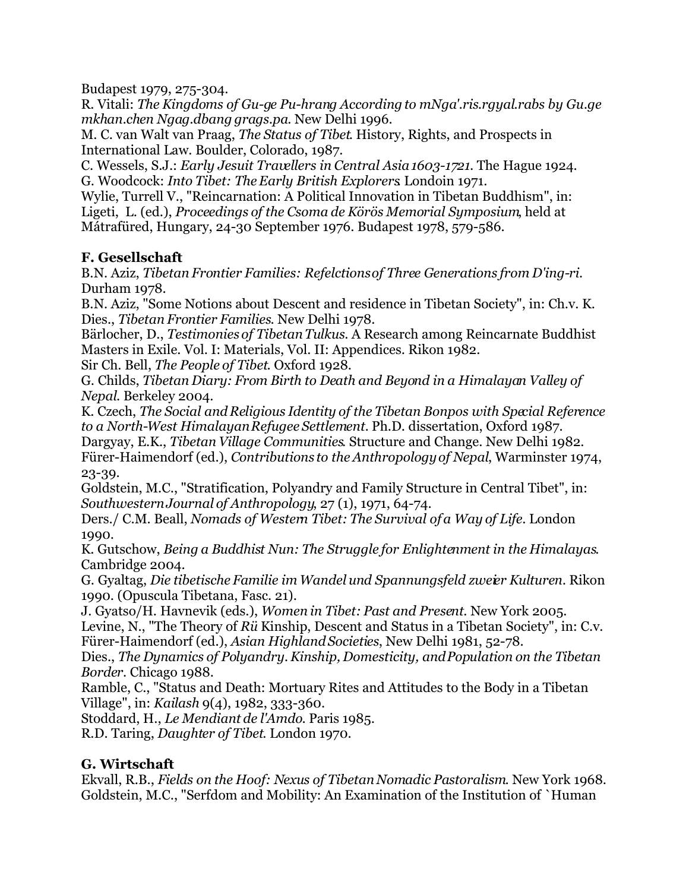Budapest 1979, 275-304.

R. Vitali: *The Kingdoms of Gu-ge Pu-hrang According to mNga'.ris.rgyal.rabs by Gu.ge mkhan.chen Ngag.dbang grags.pa*. New Delhi 1996.

M. C. van Walt van Praag, *The Status of Tibet*. History, Rights, and Prospects in International Law. Boulder, Colorado, 1987.

C. Wessels, S.J.: *Early Jesuit Travellers in Central Asia 1603-1721.* The Hague 1924. G. Woodcock: *Into Tibet: The Early British Explorers*. Londoin 1971.

Wylie, Turrell V., "Reincarnation: A Political Innovation in Tibetan Buddhism", in: Ligeti, L. (ed.), *Proceedings of the Csoma de Körös Memorial Symposium*, held at Mátrafüred, Hungary, 24-30 September 1976. Budapest 1978, 579-586.

#### **F. Gesellschaft**

B.N. Aziz, *Tibetan Frontier Families: Refelctions of Three Generations from D'ing-ri*. Durham 1978.

B.N. Aziz, "Some Notions about Descent and residence in Tibetan Society", in: Ch.v. K. Dies., *Tibetan Frontier Families*. New Delhi 1978.

Bärlocher, D., *Testimonies of Tibetan Tulkus*. A Research among Reincarnate Buddhist Masters in Exile. Vol. I: Materials, Vol. II: Appendices. Rikon 1982.

Sir Ch. Bell, *The People of Tibet*. Oxford 1928.

G. Childs, *Tibetan Diary: From Birth to Death and Beyond in a Himalayan Valley of Nepal*. Berkeley 2004.

K. Czech, *The Social and Religious Identity of the Tibetan Bonpos with Special Reference to a North-West Himalayan Refugee Settlement.* Ph.D. dissertation, Oxford 1987.

Dargyay, E.K., *Tibetan Village Communities*. Structure and Change. New Delhi 1982. Fürer-Haimendorf (ed.), *Contributions to the Anthropology of Nepal*, Warminster 1974, 23-39.

Goldstein, M.C., "Stratification, Polyandry and Family Structure in Central Tibet", in: *Southwestern Journal of Anthropology*, 27 (1), 1971, 64-74.

Ders./ C.M. Beall, *Nomads of Western Tibet: The Survival of a Way of Life*. London 1990.

K. Gutschow, *Being a Buddhist Nun: The Struggle for Enlightenment in the Himalayas*. Cambridge 2004.

G. Gyaltag, *Die tibetische Familie im Wandel und Spannungsfeld zweier Kulturen.* Rikon 1990. (Opuscula Tibetana, Fasc. 21).

J. Gyatso/H. Havnevik (eds.), *Women in Tibet: Past and Present*. New York 2005.

Levine, N., "The Theory of *Rü* Kinship, Descent and Status in a Tibetan Society", in: C.v. Fürer-Haimendorf (ed.), *Asian Highland Societies*, New Delhi 1981, 52-78.

Dies., *The Dynamics of Polyandry. Kinship, Domesticity, and Population on the Tibetan Border*. Chicago 1988.

Ramble, C., "Status and Death: Mortuary Rites and Attitudes to the Body in a Tibetan Village", in: *Kailash* 9(4), 1982, 333-360.

Stoddard, H., *Le Mendiant de l'Amdo*. Paris 1985.

R.D. Taring, *Daughter of Tibet*. London 1970.

# **G. Wirtschaft**

Ekvall, R.B., *Fields on the Hoof: Nexus of Tibetan Nomadic Pastoralism*. New York 1968. Goldstein, M.C., "Serfdom and Mobility: An Examination of the Institution of `Human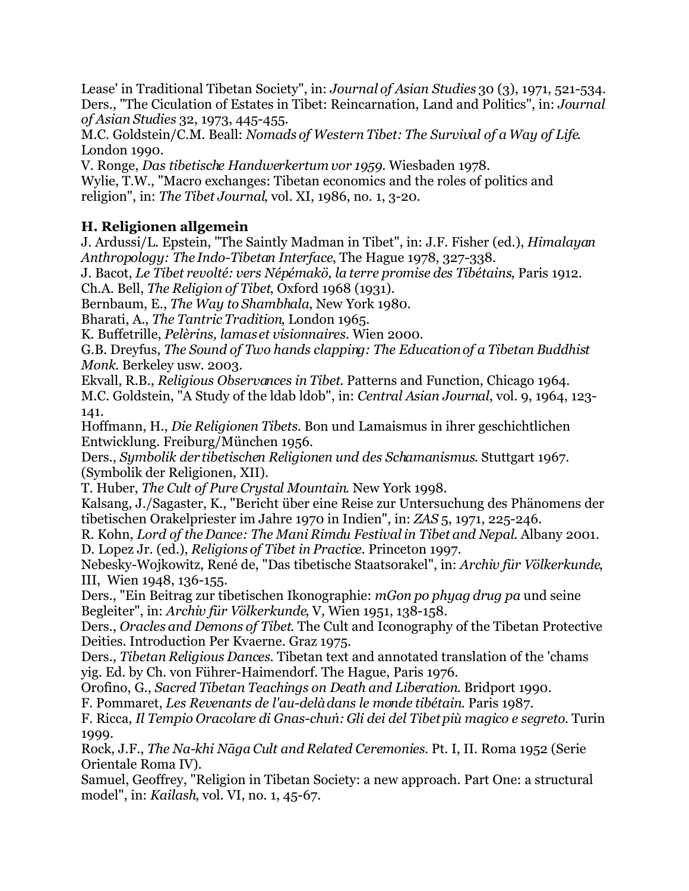Lease' in Traditional Tibetan Society", in: *Journal of Asian Studies* 30 (3), 1971, 521-534. Ders., "The Ciculation of Estates in Tibet: Reincarnation, Land and Politics", in: *Journal of Asian Studies* 32, 1973, 445-455.

M.C. Goldstein/C.M. Beall: *Nomads of Western Tibet: The Survival of a Way of Life*. London 1990.

V. Ronge, *Das tibetische Handwerkertum vor 1959*. Wiesbaden 1978.

Wylie, T.W., "Macro exchanges: Tibetan economics and the roles of politics and religion", in: *The Tibet Journal*, vol. XI, 1986, no. 1, 3-20.

# **H. Religionen allgemein**

J. Ardussi/L. Epstein, "The Saintly Madman in Tibet", in: J.F. Fisher (ed.), *Himalayan Anthropology: The Indo-Tibetan Interface*, The Hague 1978, 327-338.

J. Bacot, *Le Tibet revolté: vers Népémakö, la terre promise des Tibétains*, Paris 1912. Ch.A. Bell, *The Religion of Tibet*, Oxford 1968 (1931).

Bernbaum, E., *The Way to Shambhala*, New York 1980.

Bharati, A., *The Tantric Tradition*, London 1965.

K. Buffetrille, *Pelèrins, lamas et visionnaires*. Wien 2000.

G.B. Dreyfus, *The Sound of Two hands clapping: The Education of a Tibetan Buddhist Monk*. Berkeley usw. 2003.

Ekvall, R.B., *Religious Observances in Tibet*. Patterns and Function, Chicago 1964. M.C. Goldstein, "A Study of the ldab ldob", in: *Central Asian Journal*, vol. 9, 1964, 123- 141.

Hoffmann, H., *Die Religionen Tibets*. Bon und Lamaismus in ihrer geschichtlichen Entwicklung. Freiburg/München 1956.

Ders., *Symbolik der tibetischen Religionen und des Schamanismus*. Stuttgart 1967. (Symbolik der Religionen, XII).

T. Huber, *The Cult of Pure Crystal Mountain*. New York 1998.

Kalsang, J./Sagaster, K., "Bericht über eine Reise zur Untersuchung des Phänomens der tibetischen Orakelpriester im Jahre 1970 in Indien", in: *ZAS* 5, 1971, 225-246.

R. Kohn, *Lord of the Dance: The Mani Rimdu Festival in Tibet and Nepal*. Albany 2001. D. Lopez Jr. (ed.), *Religions of Tibet in Practice*. Princeton 1997.

Nebesky-Wojkowitz, René de, "Das tibetische Staatsorakel", in: *Archiv für Völkerkunde*, III, Wien 1948, 136-155.

Ders., "Ein Beitrag zur tibetischen Ikonographie: *mGon po phyag drug pa* und seine Begleiter", in: *Archiv für Völkerkunde*, V, Wien 1951, 138-158.

Ders., *Oracles and Demons of Tibet*. The Cult and Iconography of the Tibetan Protective Deities. Introduction Per Kvaerne. Graz 1975.

Ders., *Tibetan Religious Dances*. Tibetan text and annotated translation of the 'chams yig. Ed. by Ch. von Führer-Haimendorf. The Hague, Paris 1976.

Orofino, G., *Sacred Tibetan Teachings on Death and Liberation*. Bridport 1990.

F. Pommaret, *Les Revenants de l'au-delà dans le monde tibétain*. Paris 1987.

F. Ricca, *Il Tempio Oracolare di Gnas-chuṅ: Gli dei del Tibet più magico e segreto*. Turin 1999.

Rock, J.F., *The Na-khi Nāga Cult and Related Ceremonies*. Pt. I, II. Roma 1952 (Serie Orientale Roma IV).

Samuel, Geoffrey, "Religion in Tibetan Society: a new approach. Part One: a structural model", in: *Kailash*, vol. VI, no. 1, 45-67.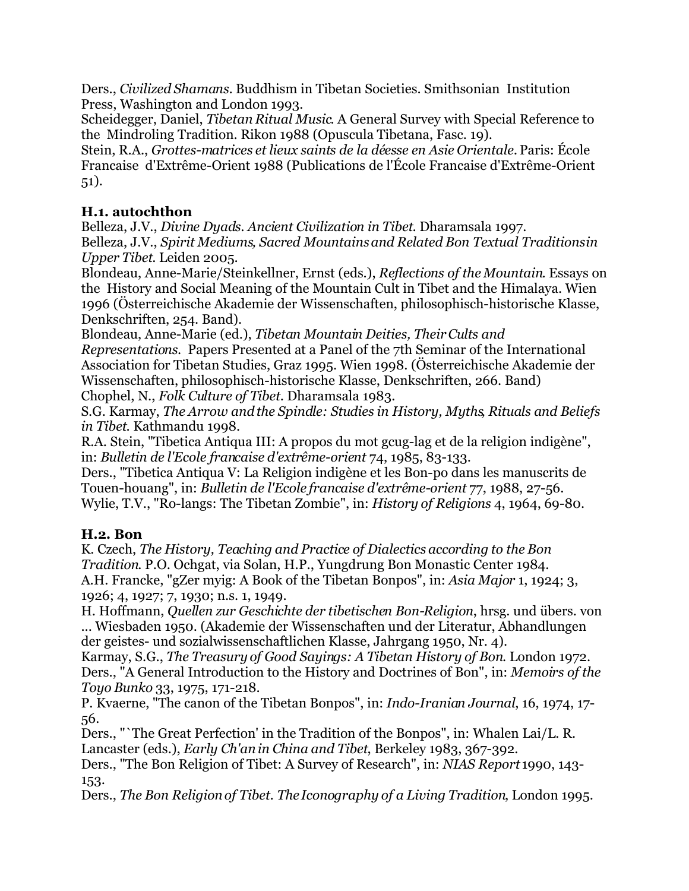Ders., *Civilized Shamans.* Buddhism in Tibetan Societies. Smithsonian Institution Press, Washington and London 1993.

Scheidegger, Daniel, *Tibetan Ritual Music*. A General Survey with Special Reference to the Mindroling Tradition. Rikon 1988 (Opuscula Tibetana, Fasc. 19).

Stein, R.A., *Grottes-matrices et lieux saints de la déesse en Asie Orientale.* Paris: École Francaise d'Extrême-Orient 1988 (Publications de l'École Francaise d'Extrême-Orient 51).

#### **H.1. autochthon**

Belleza, J.V., *Divine Dyads. Ancient Civilization in Tibet*. Dharamsala 1997. Belleza, J.V., *Spirit Mediums, Sacred Mountains and Related Bon Textual Traditions in Upper Tibet*. Leiden 2005.

Blondeau, Anne-Marie/Steinkellner, Ernst (eds.), *Reflections of the Mountain*. Essays on the History and Social Meaning of the Mountain Cult in Tibet and the Himalaya. Wien 1996 (Österreichische Akademie der Wissenschaften, philosophisch-historische Klasse, Denkschriften, 254. Band).

Blondeau, Anne-Marie (ed.), *Tibetan Mountain Deities, Their Cults and Representations*. Papers Presented at a Panel of the 7th Seminar of the International Association for Tibetan Studies, Graz 1995. Wien 1998. (Österreichische Akademie der Wissenschaften, philosophisch-historische Klasse, Denkschriften, 266. Band) Chophel, N., *Folk Culture of Tibet*. Dharamsala 1983.

S.G. Karmay, *The Arrow and the Spindle: Studies in History, Myths, Rituals and Beliefs in Tibet*. Kathmandu 1998.

R.A. Stein, "Tibetica Antiqua III: A propos du mot gcug-lag et de la religion indigène", in: *Bulletin de l'Ecole francaise d'extrême-orient* 74, 1985, 83-133.

Ders., "Tibetica Antiqua V: La Religion indigène et les Bon-po dans les manuscrits de Touen-houang", in: *Bulletin de l'Ecole francaise d'extrême-orient* 77, 1988, 27-56. Wylie, T.V., "Ro-langs: The Tibetan Zombie", in: *History of Religions* 4, 1964, 69-80.

#### **H.2. Bon**

K. Czech, *The History, Teaching and Practice of Dialectics according to the Bon Tradition*. P.O. Ochgat, via Solan, H.P., Yungdrung Bon Monastic Center 1984. A.H. Francke, "gZer myig: A Book of the Tibetan Bonpos", in: *Asia Major* 1, 1924; 3, 1926; 4, 1927; 7, 1930; n.s. 1, 1949.

H. Hoffmann, *Quellen zur Geschichte der tibetischen Bon-Religion*, hrsg. und übers. von ... Wiesbaden 1950. (Akademie der Wissenschaften und der Literatur, Abhandlungen der geistes- und sozialwissenschaftlichen Klasse, Jahrgang 1950, Nr. 4).

Karmay, S.G., *The Treasury of Good Sayings: A Tibetan History of Bon*. London 1972. Ders., "A General Introduction to the History and Doctrines of Bon", in: *Memoirs of the Toyo Bunko* 33, 1975, 171-218.

P. Kvaerne, "The canon of the Tibetan Bonpos", in: *Indo-Iranian Journal*, 16, 1974, 17- 56.

Ders., "`The Great Perfection' in the Tradition of the Bonpos", in: Whalen Lai/L. R. Lancaster (eds.), *Early Ch'an in China and Tibet*, Berkeley 1983, 367-392.

Ders., "The Bon Religion of Tibet: A Survey of Research", in: *NIAS Report* 1990, 143- 153.

Ders., *The Bon Religion of Tibet. The Iconography of a Living Tradition*, London 1995.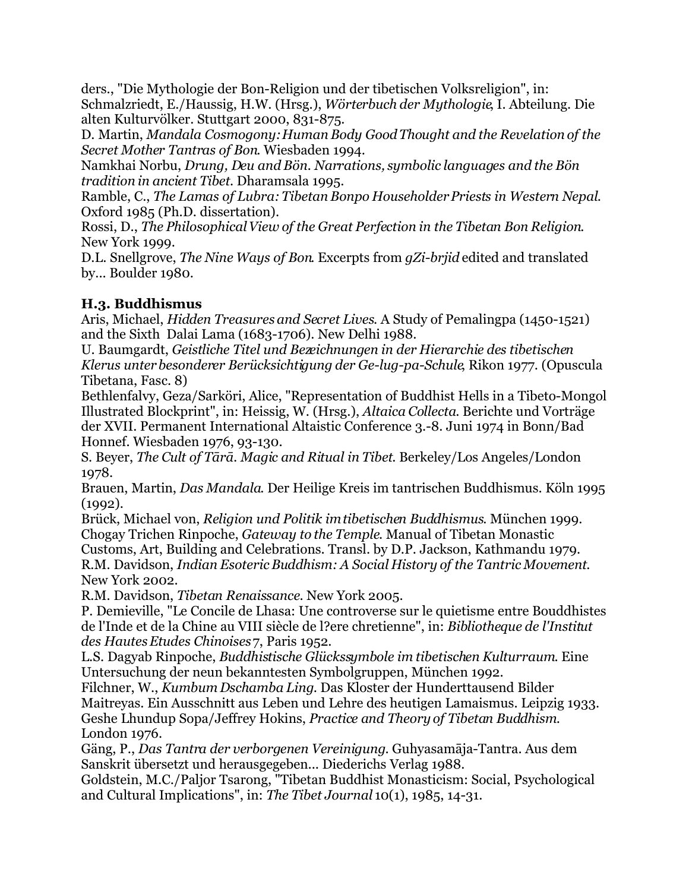ders., "Die Mythologie der Bon-Religion und der tibetischen Volksreligion", in: Schmalzriedt, E./Haussig, H.W. (Hrsg.), *Wörterbuch der Mythologie*, I. Abteilung. Die alten Kulturvölker. Stuttgart 2000, 831-875.

D. Martin, *Mandala Cosmogony: Human Body Good Thought and the Revelation of the Secret Mother Tantras of Bon*. Wiesbaden 1994.

Namkhai Norbu, *Drung, Deu and Bön. Narrations, symbolic languages and the Bön tradition in ancient Tibet*. Dharamsala 1995.

Ramble, C., *The Lamas of Lubra: Tibetan Bonpo Householder Priests in Western Nepal*. Oxford 1985 (Ph.D. dissertation).

Rossi, D., *The Philosophical View of the Great Perfection in the Tibetan Bon Religion*. New York 1999.

D.L. Snellgrove, *The Nine Ways of Bon*. Excerpts from *gZi-brjid* edited and translated by... Boulder 1980.

# **H.3. Buddhismus**

Aris, Michael, *Hidden Treasures and Secret Lives*. A Study of Pemalingpa (1450-1521) and the Sixth Dalai Lama (1683-1706). New Delhi 1988.

U. Baumgardt, *Geistliche Titel und Bezeichnungen in der Hierarchie des tibetischen Klerus unter besonderer Berücksichtigung der Ge-lug-pa-Schule*, Rikon 1977. (Opuscula Tibetana, Fasc. 8)

Bethlenfalvy, Geza/Sarköri, Alice, "Representation of Buddhist Hells in a Tibeto-Mongol Illustrated Blockprint", in: Heissig, W. (Hrsg.), *Altaica Collecta*. Berichte und Vorträge der XVII. Permanent International Altaistic Conference 3.-8. Juni 1974 in Bonn/Bad Honnef. Wiesbaden 1976, 93-130.

S. Beyer, *The Cult of Tārā. Magic and Ritual in Tibet*. Berkeley/Los Angeles/London 1978.

Brauen, Martin, *Das Mandala*. Der Heilige Kreis im tantrischen Buddhismus. Köln 1995  $(1992)$ .

Brück, Michael von, *Religion und Politik im tibetischen Buddhismus*. München 1999. Chogay Trichen Rinpoche, *Gateway to the Temple*. Manual of Tibetan Monastic Customs, Art, Building and Celebrations. Transl. by D.P. Jackson, Kathmandu 1979.

R.M. Davidson, *Indian Esoteric Buddhism: A Social History of the Tantric Movement*. New York 2002.

R.M. Davidson, *Tibetan Renaissance*. New York 2005.

P. Demieville, "Le Concile de Lhasa: Une controverse sur le quietisme entre Bouddhistes de l'Inde et de la Chine au VIII siècle de l?ere chretienne", in: *Bibliotheque de l'Institut des Hautes Etudes Chinoises*7, Paris 1952.

L.S. Dagyab Rinpoche, *Buddhistische Glückssymbole im tibetischen Kulturraum*. Eine Untersuchung der neun bekanntesten Symbolgruppen, München 1992.

Filchner, W., *Kumbum Dschamba Ling*. Das Kloster der Hunderttausend Bilder Maitreyas. Ein Ausschnitt aus Leben und Lehre des heutigen Lamaismus. Leipzig 1933. Geshe Lhundup Sopa/Jeffrey Hokins, *Practice and Theory of Tibetan Buddhism*. London 1976.

Gäng, P., *Das Tantra der verborgenen Vereinigung*. Guhyasamāja-Tantra. Aus dem Sanskrit übersetzt und herausgegeben... Diederichs Verlag 1988.

Goldstein, M.C./Paljor Tsarong, "Tibetan Buddhist Monasticism: Social, Psychological and Cultural Implications", in: *The Tibet Journal* 10(1), 1985, 14-31.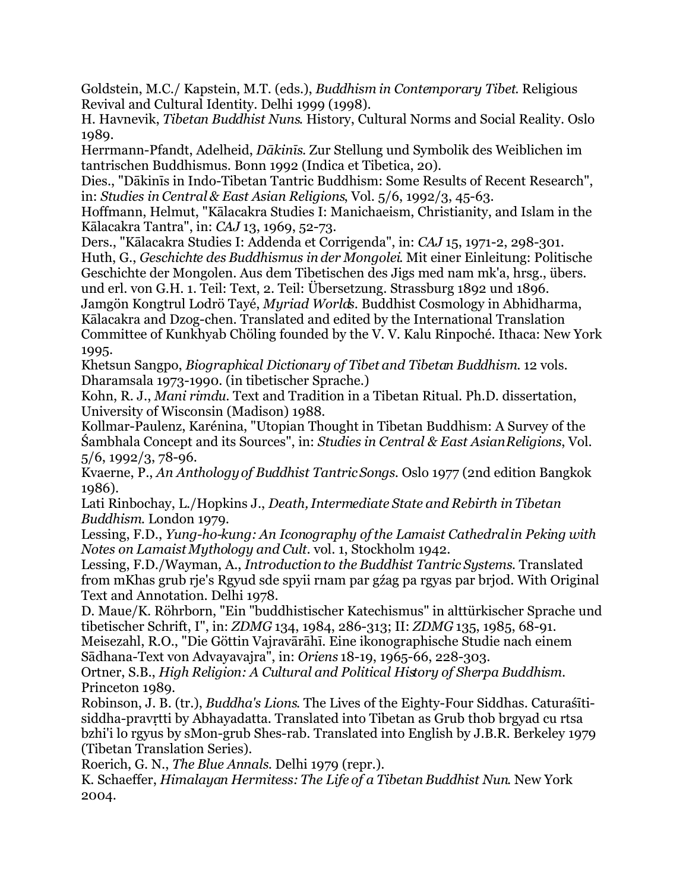Goldstein, M.C./ Kapstein, M.T. (eds.), *Buddhism in Contemporary Tibet*. Religious Revival and Cultural Identity. Delhi 1999 (1998).

H. Havnevik, *Tibetan Buddhist Nuns*. History, Cultural Norms and Social Reality. Oslo 1989.

Herrmann-Pfandt, Adelheid, *Dākinīs*. Zur Stellung und Symbolik des Weiblichen im tantrischen Buddhismus. Bonn 1992 (Indica et Tibetica, 20).

Dies., "Dākinīs in Indo-Tibetan Tantric Buddhism: Some Results of Recent Research", in: *Studies in Central & East Asian Religions*, Vol. 5/6, 1992/3, 45-63.

Hoffmann, Helmut, "Kālacakra Studies I: Manichaeism, Christianity, and Islam in the Kālacakra Tantra", in: *CAJ* 13, 1969, 52-73.

Ders., "Kālacakra Studies I: Addenda et Corrigenda", in: *CAJ* 15, 1971-2, 298-301. Huth, G., *Geschichte des Buddhismus in der Mongolei*. Mit einer Einleitung: Politische Geschichte der Mongolen. Aus dem Tibetischen des Jigs med nam mk'a, hrsg., übers. und erl. von G.H. 1. Teil: Text, 2. Teil: Übersetzung. Strassburg 1892 und 1896.

Jamgön Kongtrul Lodrö Tayé, *Myriad Worlds*. Buddhist Cosmology in Abhidharma, Kālacakra and Dzog-chen. Translated and edited by the International Translation Committee of Kunkhyab Chöling founded by the V. V. Kalu Rinpoché. Ithaca: New York 1995.

Khetsun Sangpo, *Biographical Dictionary of Tibet and Tibetan Buddhism*. 12 vols. Dharamsala 1973-1990. (in tibetischer Sprache.)

Kohn, R. J., *Mani rimdu*. Text and Tradition in a Tibetan Ritual. Ph.D. dissertation, University of Wisconsin (Madison) 1988.

Kollmar-Paulenz, Karénina, "Utopian Thought in Tibetan Buddhism: A Survey of the Śambhala Concept and its Sources", in: *Studies in Central & East Asian Religions*, Vol. 5/6, 1992/3, 78-96.

Kvaerne, P., *An Anthology of Buddhist Tantric Songs*. Oslo 1977 (2nd edition Bangkok 1986).

Lati Rinbochay, L./Hopkins J., *Death, Intermediate State and Rebirth in Tibetan Buddhism*. London 1979.

Lessing, F.D., *Yung-ho-kung: An Iconography of the Lamaist Cathedral in Peking with Notes on Lamaist Mythology and Cult*. vol. 1, Stockholm 1942.

Lessing, F.D./Wayman, A., *Introduction to the Buddhist Tantric Systems.* Translated from mKhas grub rje's Rgyud sde spyii rnam par gźag pa rgyas par brjod. With Original Text and Annotation. Delhi 1978.

D. Maue/K. Röhrborn, "Ein "buddhistischer Katechismus" in alttürkischer Sprache und tibetischer Schrift, I", in: *ZDMG* 134, 1984, 286-313; II: *ZDMG* 135, 1985, 68-91.

Meisezahl, R.O., "Die Göttin Vajravārāhī. Eine ikonographische Studie nach einem Sādhana-Text von Advayavajra", in: *Oriens* 18-19, 1965-66, 228-303.

Ortner, S.B., *High Religion: A Cultural and Political History of Sherpa Buddhism*. Princeton 1989.

Robinson, J. B. (tr.), *Buddha's Lions*. The Lives of the Eighty-Four Siddhas. Caturaśītisiddha-pravṛtti by Abhayadatta. Translated into Tibetan as Grub thob brgyad cu rtsa bzhi'i lo rgyus by sMon-grub Shes-rab. Translated into English by J.B.R. Berkeley 1979 (Tibetan Translation Series).

Roerich, G. N., *The Blue Annals*. Delhi 1979 (repr.).

K. Schaeffer, *Himalayan Hermitess: The Life of a Tibetan Buddhist Nun*. New York 2004.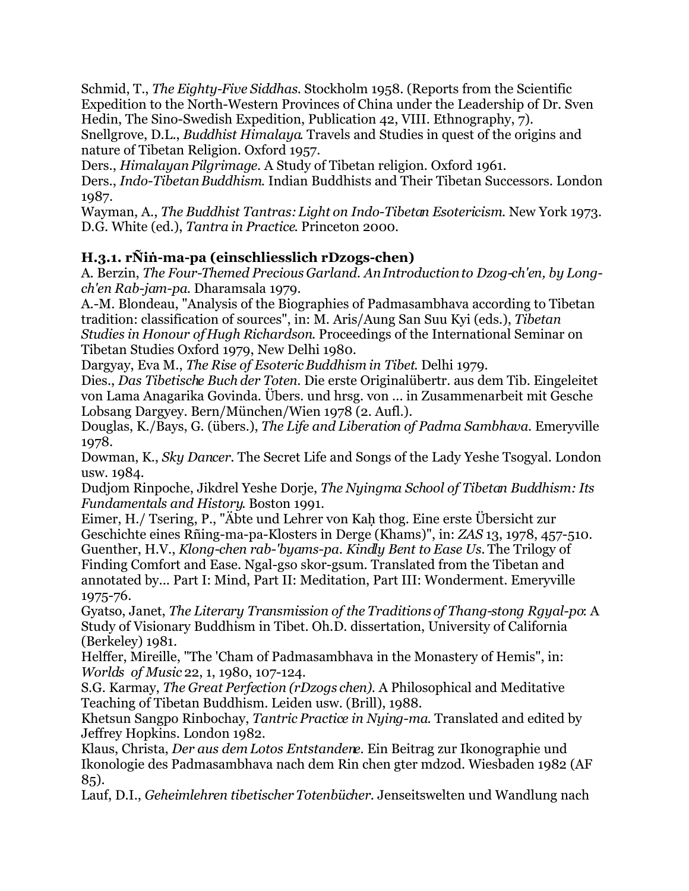Schmid, T., *The Eighty-Five Siddhas*. Stockholm 1958. (Reports from the Scientific Expedition to the North-Western Provinces of China under the Leadership of Dr. Sven Hedin, The Sino-Swedish Expedition, Publication 42, VIII. Ethnography, 7).

Snellgrove, D.L., *Buddhist Himalaya*. Travels and Studies in quest of the origins and nature of Tibetan Religion. Oxford 1957.

Ders., *Himalayan Pilgrimage*. A Study of Tibetan religion. Oxford 1961.

Ders., *Indo-Tibetan Buddhism*. Indian Buddhists and Their Tibetan Successors. London 1987.

Wayman, A., *The Buddhist Tantras: Light on Indo-Tibetan Esotericism*. New York 1973. D.G. White (ed.), *Tantra in Practice*. Princeton 2000.

# **H.3.1. rÑiṅ-ma-pa (einschliesslich rDzogs-chen)**

A. Berzin, *The Four-Themed Precious Garland. An Introduction to Dzog-ch'en, by Longch'en Rab-jam-pa*. Dharamsala 1979.

A.-M. Blondeau, "Analysis of the Biographies of Padmasambhava according to Tibetan tradition: classification of sources", in: M. Aris/Aung San Suu Kyi (eds.), *Tibetan Studies in Honour of Hugh Richardson*. Proceedings of the International Seminar on Tibetan Studies Oxford 1979, New Delhi 1980.

Dargyay, Eva M., *The Rise of Esoteric Buddhism in Tibet*. Delhi 1979.

Dies., *Das Tibetische Buch der Toten*. Die erste Originalübertr. aus dem Tib. Eingeleitet von Lama Anagarika Govinda. Übers. und hrsg. von ... in Zusammenarbeit mit Gesche Lobsang Dargyey. Bern/München/Wien 1978 (2. Aufl.).

Douglas, K./Bays, G. (übers.), *The Life and Liberation of Padma Sambhava*. Emeryville 1978.

Dowman, K., *Sky Dancer*. The Secret Life and Songs of the Lady Yeshe Tsogyal. London usw. 1984.

Dudjom Rinpoche, Jikdrel Yeshe Dorje, *The Nyingma School of Tibetan Buddhism: Its Fundamentals and History*. Boston 1991.

Eimer, H./ Tsering, P., "Äbte und Lehrer von Kaḥ thog. Eine erste Übersicht zur Geschichte eines Rñing-ma-pa-Klosters in Derge (Khams)", in: *ZAS* 13, 1978, 457-510. Guenther, H.V., *Klong-chen rab-'byams-pa. Kindly Bent to Ease Us.* The Trilogy of Finding Comfort and Ease. Ngal-gso skor-gsum. Translated from the Tibetan and annotated by... Part I: Mind, Part II: Meditation, Part III: Wonderment. Emeryville 1975-76.

Gyatso, Janet, *The Literary Transmission of the Traditions of Thang-stong Rgyal-po*: A Study of Visionary Buddhism in Tibet. Oh.D. dissertation, University of California (Berkeley) 1981.

Helffer, Mireille, "The 'Cham of Padmasambhava in the Monastery of Hemis", in: *Worlds of Music* 22, 1, 1980, 107-124.

S.G. Karmay, *The Great Perfection (rDzogs chen)*. A Philosophical and Meditative Teaching of Tibetan Buddhism. Leiden usw. (Brill), 1988.

Khetsun Sangpo Rinbochay, *Tantric Practice in Nying-ma*. Translated and edited by Jeffrey Hopkins. London 1982.

Klaus, Christa, *Der aus dem Lotos Entstandene*. Ein Beitrag zur Ikonographie und Ikonologie des Padmasambhava nach dem Rin chen gter mdzod. Wiesbaden 1982 (AF 85).

Lauf, D.I., *Geheimlehren tibetischer Totenbücher*. Jenseitswelten und Wandlung nach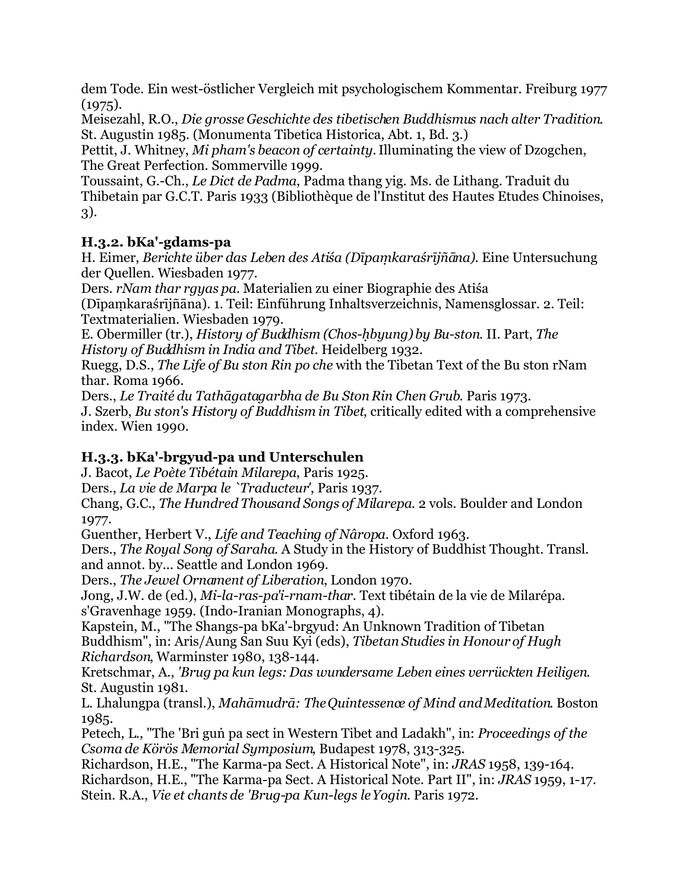dem Tode. Ein west-östlicher Vergleich mit psychologischem Kommentar. Freiburg 1977  $(1975).$ 

Meisezahl, R.O., *Die grosse Geschichte des tibetischen Buddhismus nach alter Tradition*. St. Augustin 1985. (Monumenta Tibetica Historica, Abt. 1, Bd. 3.)

Pettit, J. Whitney, *Mi pham's beacon of certainty.* Illuminating the view of Dzogchen, The Great Perfection. Sommerville 1999.

Toussaint, G.-Ch., *Le Dict de Padma*, Padma thang yig. Ms. de Lithang. Traduit du Thibetain par G.C.T. Paris 1933 (Bibliothèque de l'Institut des Hautes Etudes Chinoises, 3).

#### **H.3.2. bKa'-gdams-pa**

H. Eimer, *Berichte über das Leben des Atiśa (Dīpaṃkaraśrījñāna)*. Eine Untersuchung der Quellen. Wiesbaden 1977.

Ders. *rNam thar rgyas pa*. Materialien zu einer Biographie des Atiśa

(Dīpaṃkaraśrījñāna). 1. Teil: Einführung Inhaltsverzeichnis, Namensglossar. 2. Teil: Textmaterialien. Wiesbaden 1979.

E. Obermiller (tr.), *History of Buddhism (Chos-ḥbyung) by Bu-ston*. II. Part, *The History of Buddhism in India and Tibet*. Heidelberg 1932.

Ruegg, D.S., *The Life of Bu ston Rin po che* with the Tibetan Text of the Bu ston rNam thar. Roma 1966.

Ders., *Le Traité du Tathāgatagarbha de Bu Ston Rin Chen Grub*. Paris 1973. J. Szerb, *Bu ston's History of Buddhism in Tibet*, critically edited with a comprehensive index. Wien 1990.

# **H.3.3. bKa'-brgyud-pa und Unterschulen**

J. Bacot, *Le Poète Tibétain Milarepa*, Paris 1925.

Ders., *La vie de Marpa le `Traducteur'*, Paris 1937.

Chang, G.C., *The Hundred Thousand Songs of Milarepa*. 2 vols. Boulder and London 1977.

Guenther, Herbert V., *Life and Teaching of Nâropa*. Oxford 1963.

Ders., *The Royal Song of Saraha*. A Study in the History of Buddhist Thought. Transl. and annot. by... Seattle and London 1969.

Ders., *The Jewel Ornament of Liberation*, London 1970.

Jong, J.W. de (ed.), *Mi-la-ras-pa'i-rnam-thar*. Text tibétain de la vie de Milarépa. s'Gravenhage 1959. (Indo-Iranian Monographs, 4).

Kapstein, M., "The Shangs-pa bKa'-brgyud: An Unknown Tradition of Tibetan Buddhism", in: Aris/Aung San Suu Kyi (eds), *Tibetan Studies in Honour of Hugh Richardson*, Warminster 1980, 138-144.

Kretschmar, A., *'Brug pa kun legs: Das wundersame Leben eines verrückten Heiligen*. St. Augustin 1981.

L. Lhalungpa (transl.), *Mahāmudrā: The Quintessence of Mind and Meditation*. Boston 1985.

Petech, L., "The 'Bri guṅ pa sect in Western Tibet and Ladakh", in: *Proceedings of the Csoma de Körös Memorial Symposium*, Budapest 1978, 313-325.

Richardson, H.E., "The Karma-pa Sect. A Historical Note", in: *JRAS* 1958, 139-164. Richardson, H.E., "The Karma-pa Sect. A Historical Note. Part II", in: *JRAS* 1959, 1-17. Stein. R.A., *Vie et chants de 'Brug-pa Kun-legs le Yogin*. Paris 1972.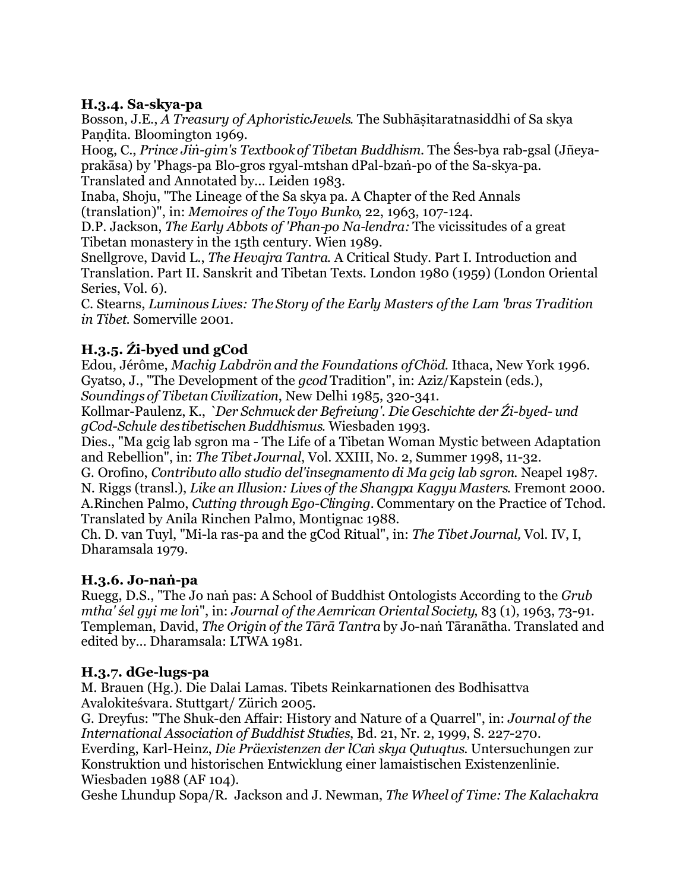#### **H.3.4. Sa-skya-pa**

Bosson, J.E., *A Treasury of Aphoristic Jewels.* The Subhāṣitaratnasiddhi of Sa skya Pandita. Bloomington 1969.

Hoog, C., *Prince Jiṅ-gim's Textbook of Tibetan Buddhism*. The Śes-bya rab-gsal (Jñeyaprakāsa) by 'Phags-pa Blo-gros rgyal-mtshan dPal-bzaṅ-po of the Sa-skya-pa. Translated and Annotated by... Leiden 1983.

Inaba, Shoju, "The Lineage of the Sa skya pa. A Chapter of the Red Annals (translation)", in: *Memoires of the Toyo Bunko*, 22, 1963, 107-124.

D.P. Jackson, *The Early Abbots of 'Phan-po Na-lendra:* The vicissitudes of a great Tibetan monastery in the 15th century. Wien 1989.

Snellgrove, David L., *The Hevajra Tantra*. A Critical Study. Part I. Introduction and Translation. Part II. Sanskrit and Tibetan Texts. London 1980 (1959) (London Oriental Series, Vol. 6).

C. Stearns, *Luminous Lives: The Story of the Early Masters of the Lam 'bras Tradition in Tibet*. Somerville 2001.

# **H.3.5. Źi-byed und gCod**

Edou, Jérôme, *Machig Labdrön and the Foundations of Chöd*. Ithaca, New York 1996. Gyatso, J., "The Development of the *gcod* Tradition", in: Aziz/Kapstein (eds.), *Soundings of Tibetan Civilization*, New Delhi 1985, 320-341.

Kollmar-Paulenz, K., *`Der Schmuck der Befreiung'. Die Geschichte der Źi-byed- und gCod-Schule des tibetischen Buddhismus*. Wiesbaden 1993.

Dies., "Ma gcig lab sgron ma - The Life of a Tibetan Woman Mystic between Adaptation and Rebellion", in: *The Tibet Journal*, Vol. XXIII, No. 2, Summer 1998, 11-32.

G. Orofino, *Contributo allo studio del'insegnamento di Ma gcig lab sgron*. Neapel 1987. N. Riggs (transl.), *Like an Illusion: Lives of the Shangpa Kagyu Masters*. Fremont 2000. A.Rinchen Palmo, *Cutting through Ego-Clinging.* Commentary on the Practice of Tchod. Translated by Anila Rinchen Palmo, Montignac 1988.

Ch. D. van Tuyl, "Mi-la ras-pa and the gCod Ritual", in: *The Tibet Journal,* Vol. IV, I, Dharamsala 1979.

# **H.3.6. Jo-naṅ-pa**

Ruegg, D.S., "The Jo naṅ pas: A School of Buddhist Ontologists According to the *Grub mtha' śel gyi me loṅ*", in: *Journal of the Aemrican Oriental Society*, 83 (1), 1963, 73-91. Templeman, David, *The Origin of the Tārā Tantra* by Jo-naṅ Tāranātha. Translated and edited by... Dharamsala: LTWA 1981.

# **H.3.7. dGe-lugs-pa**

M. Brauen (Hg.). Die Dalai Lamas. Tibets Reinkarnationen des Bodhisattva Avalokiteśvara. Stuttgart/ Zürich 2005.

G. Dreyfus: "The Shuk-den Affair: History and Nature of a Quarrel", in: *Journal of the International Association of Buddhist Studies*, Bd. 21, Nr. 2, 1999, S. 227-270.

Everding, Karl-Heinz, *Die Präexistenzen der lCaṅ skya Qutuqtus*. Untersuchungen zur Konstruktion und historischen Entwicklung einer lamaistischen Existenzenlinie. Wiesbaden 1988 (AF 104).

Geshe Lhundup Sopa/R. Jackson and J. Newman, *The Wheel of Time: The Kalachakra*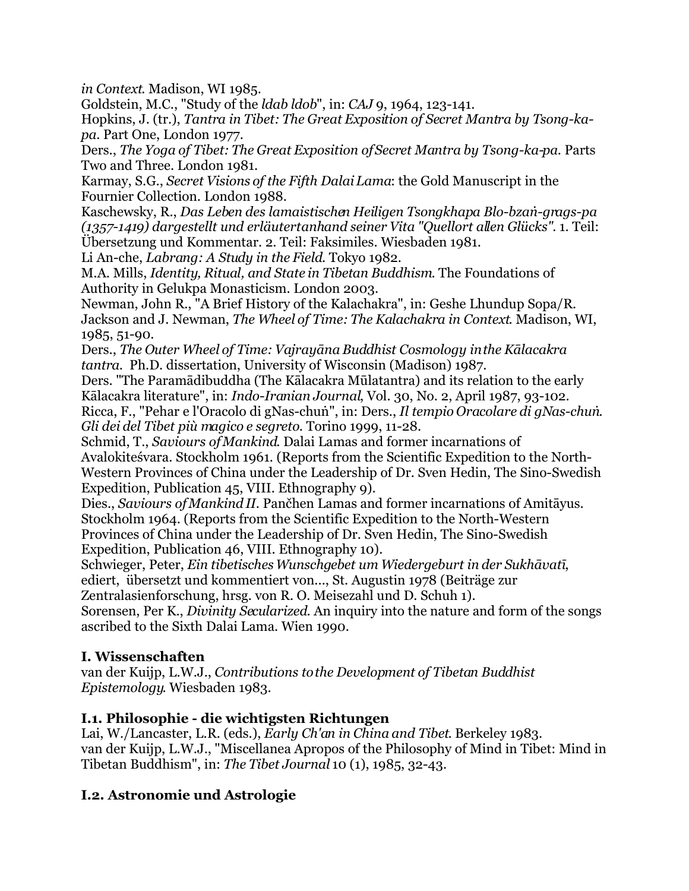*in Context*. Madison, WI 1985.

Goldstein, M.C., "Study of the *ldab ldob*", in: *CAJ* 9, 1964, 123-141.

Hopkins, J. (tr.), *Tantra in Tibet: The Great Exposition of Secret Mantra by Tsong-kapa*. Part One, London 1977.

Ders., *The Yoga of Tibet: The Great Exposition of Secret Mantra by Tsong-ka-pa*. Parts Two and Three. London 1981.

Karmay, S.G., *Secret Visions of the Fifth Dalai Lama*: the Gold Manuscript in the Fournier Collection. London 1988.

Kaschewsky, R., *Das Leben des lamaistischen Heiligen Tsongkhapa Blo-bzaṅ-grags-pa (1357-1419) dargestellt und erläutert anhand seiner Vita "Quellort allen Glücks"*. 1. Teil: Übersetzung und Kommentar. 2. Teil: Faksimiles. Wiesbaden 1981.

Li An-che, *Labrang: A Study in the Field*. Tokyo 1982.

M.A. Mills, *Identity, Ritual, and State in Tibetan Buddhism*. The Foundations of Authority in Gelukpa Monasticism. London 2003.

Newman, John R., "A Brief History of the Kalachakra", in: Geshe Lhundup Sopa/R. Jackson and J. Newman, *The Wheel of Time: The Kalachakra in Context*. Madison, WI, 1985, 51-90.

Ders., *The Outer Wheel of Time: Vajrayāna Buddhist Cosmology in the Kālacakra tantra*. Ph.D. dissertation, University of Wisconsin (Madison) 1987.

Ders. "The Paramādibuddha (The Kālacakra Mūlatantra) and its relation to the early Kālacakra literature", in: *Indo-Iranian Journal*, Vol. 30, No. 2, April 1987, 93-102. Ricca, F., "Pehar e l'Oracolo di gNas-chuṅ", in: Ders., *Il tempio Oracolare di gNas-chuṅ. Gli dei del Tibet più magico e segreto*. Torino 1999, 11-28.

Schmid, T., *Saviours of Mankind*. Dalai Lamas and former incarnations of Avalokiteśvara. Stockholm 1961. (Reports from the Scientific Expedition to the North-Western Provinces of China under the Leadership of Dr. Sven Hedin, The Sino-Swedish Expedition, Publication 45, VIII. Ethnography 9).

Dies., *Saviours of Mankind II*. Pančhen Lamas and former incarnations of Amitāyus. Stockholm 1964. (Reports from the Scientific Expedition to the North-Western Provinces of China under the Leadership of Dr. Sven Hedin, The Sino-Swedish Expedition, Publication 46, VIII. Ethnography 10).

Schwieger, Peter, *Ein tibetisches Wunschgebet um Wiedergeburt in der Sukhāvatī*, ediert, übersetzt und kommentiert von..., St. Augustin 1978 (Beiträge zur

Zentralasienforschung, hrsg. von R. O. Meisezahl und D. Schuh 1).

Sorensen, Per K., *Divinity Secularized*. An inquiry into the nature and form of the songs ascribed to the Sixth Dalai Lama. Wien 1990.

# **I. Wissenschaften**

van der Kuijp, L.W.J., *Contributions to the Development of Tibetan Buddhist Epistemology*. Wiesbaden 1983.

# **I.1. Philosophie - die wichtigsten Richtungen**

Lai, W./Lancaster, L.R. (eds.), *Early Ch'an in China and Tibet*. Berkeley 1983. van der Kuijp, L.W.J., "Miscellanea Apropos of the Philosophy of Mind in Tibet: Mind in Tibetan Buddhism", in: *The Tibet Journal* 10 (1), 1985, 32-43.

# **I.2. Astronomie und Astrologie**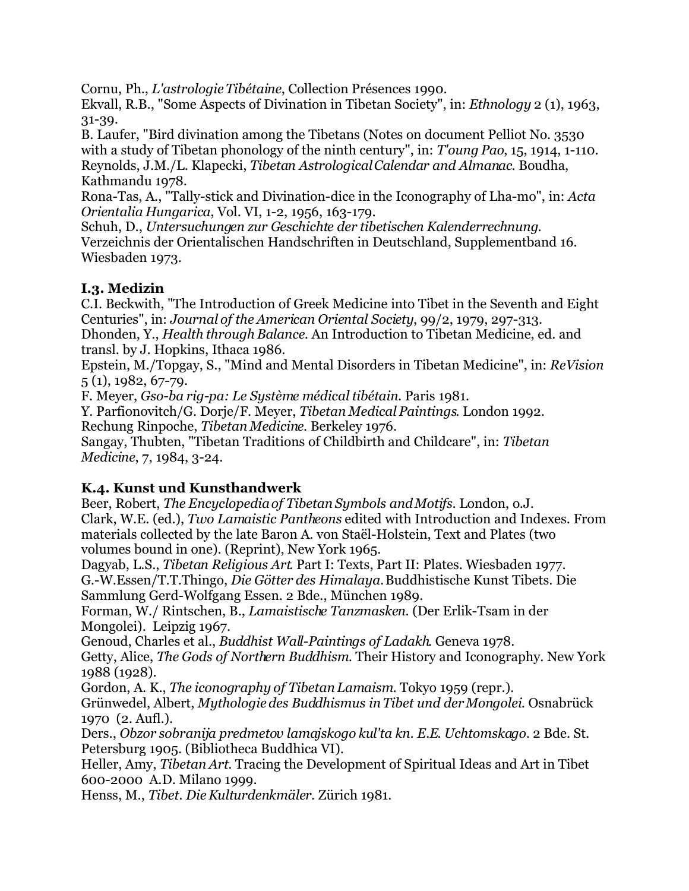Cornu, Ph., *L'astrologie Tibétaine*, Collection Présences 1990.

Ekvall, R.B., "Some Aspects of Divination in Tibetan Society", in: *Ethnology* 2 (1), 1963, 31-39.

B. Laufer, "Bird divination among the Tibetans (Notes on document Pelliot No. 3530 with a study of Tibetan phonology of the ninth century", in: *T'oung Pao*, 15, 1914, 1-110. Reynolds, J.M./L. Klapecki, *Tibetan Astrological Calendar and Almanac*. Boudha, Kathmandu 1978.

Rona-Tas, A., "Tally-stick and Divination-dice in the Iconography of Lha-mo", in: *Acta Orientalia Hungarica*, Vol. VI, 1-2, 1956, 163-179.

Schuh, D., *Untersuchungen zur Geschichte der tibetischen Kalenderrechnung*. Verzeichnis der Orientalischen Handschriften in Deutschland, Supplementband 16. Wiesbaden 1973.

# **I.3. Medizin**

C.I. Beckwith, "The Introduction of Greek Medicine into Tibet in the Seventh and Eight Centuries", in: *Journal of the American Oriental Society*, 99/2, 1979, 297-313.

Dhonden, Y., *Health through Balance*. An Introduction to Tibetan Medicine, ed. and transl. by J. Hopkins, Ithaca 1986.

Epstein, M./Topgay, S., "Mind and Mental Disorders in Tibetan Medicine", in: *ReVision* 5 (1), 1982, 67-79.

F. Meyer, *Gso-ba rig-pa: Le Système médical tibétain*. Paris 1981.

Y. Parfionovitch/G. Dorje/F. Meyer, *Tibetan Medical Paintings*. London 1992. Rechung Rinpoche, *Tibetan Medicine*. Berkeley 1976.

Sangay, Thubten, "Tibetan Traditions of Childbirth and Childcare", in: *Tibetan Medicine*, 7, 1984, 3-24.

# **K.4. Kunst und Kunsthandwerk**

Beer, Robert, *The Encyclopedia of Tibetan Symbols and Motifs.* London, o.J. Clark, W.E. (ed.), *Two Lamaistic Pantheons* edited with Introduction and Indexes. From materials collected by the late Baron A. von Staël-Holstein, Text and Plates (two volumes bound in one). (Reprint), New York 1965.

Dagyab, L.S., *Tibetan Religious Art*. Part I: Texts, Part II: Plates. Wiesbaden 1977. G.-W.Essen/T.T.Thingo, *Die Götter des Himalaya.* Buddhistische Kunst Tibets. Die Sammlung Gerd-Wolfgang Essen. 2 Bde., München 1989.

Forman, W./ Rintschen, B., *Lamaistische Tanzmasken*. (Der Erlik-Tsam in der Mongolei). Leipzig 1967.

Genoud, Charles et al., *Buddhist Wall-Paintings of Ladakh*. Geneva 1978.

Getty, Alice, *The Gods of Northern Buddhism*. Their History and Iconography. New York 1988 (1928).

Gordon, A. K., *The iconography of Tibetan Lamaism*. Tokyo 1959 (repr.).

Grünwedel, Albert, *Mythologie des Buddhismus in Tibet und der Mongolei*. Osnabrück 1970 (2. Aufl.).

Ders., *Obzor sobranija predmetov lamajskogo kul'ta kn. E.E. Uchtomskago.* 2 Bde. St. Petersburg 1905. (Bibliotheca Buddhica VI).

Heller, Amy, *Tibetan Art*. Tracing the Development of Spiritual Ideas and Art in Tibet 600-2000 A.D. Milano 1999.

Henss, M., *Tibet. Die Kulturdenkmäler*. Zürich 1981.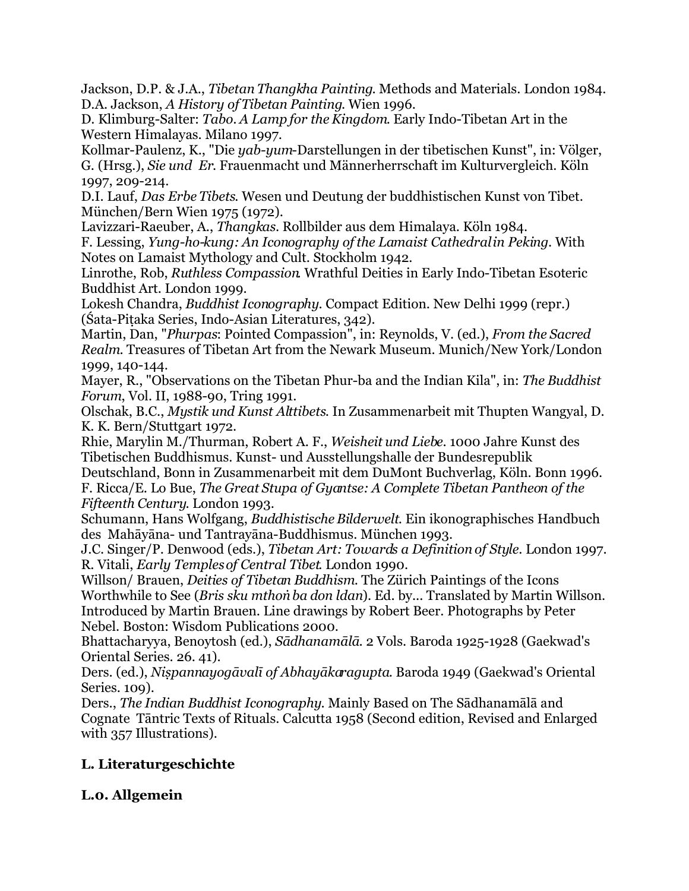Jackson, D.P. & J.A., *Tibetan Thangkha Painting*. Methods and Materials. London 1984. D.A. Jackson, *A History of Tibetan Painting*. Wien 1996.

D. Klimburg-Salter: *Tabo. A Lamp for the Kingdom*. Early Indo-Tibetan Art in the Western Himalayas. Milano 1997.

Kollmar-Paulenz, K., "Die *yab-yum*-Darstellungen in der tibetischen Kunst", in: Völger, G. (Hrsg.), *Sie und Er*. Frauenmacht und Männerherrschaft im Kulturvergleich. Köln 1997, 209-214.

D.I. Lauf, *Das Erbe Tibets*. Wesen und Deutung der buddhistischen Kunst von Tibet. München/Bern Wien 1975 (1972).

Lavizzari-Raeuber, A., *Thangkas*. Rollbilder aus dem Himalaya. Köln 1984.

F. Lessing, *Yung-ho-kung: An Iconography of the Lamaist Cathedral in Peking*. With Notes on Lamaist Mythology and Cult. Stockholm 1942.

Linrothe, Rob, *Ruthless Compassion*. Wrathful Deities in Early Indo-Tibetan Esoteric Buddhist Art. London 1999.

Lokesh Chandra, *Buddhist Iconography*. Compact Edition. New Delhi 1999 (repr.) (Śata-Piṭaka Series, Indo-Asian Literatures, 342).

Martin, Dan, "*Phurpas*: Pointed Compassion", in: Reynolds, V. (ed.), *From the Sacred Realm*. Treasures of Tibetan Art from the Newark Museum. Munich/New York/London 1999, 140-144.

Mayer, R., "Observations on the Tibetan Phur-ba and the Indian Kila", in: *The Buddhist Forum*, Vol. II, 1988-90, Tring 1991.

Olschak, B.C., *Mystik und Kunst Alttibets*. In Zusammenarbeit mit Thupten Wangyal, D. K. K. Bern/Stuttgart 1972.

Rhie, Marylin M./Thurman, Robert A. F., *Weisheit und Liebe*. 1000 Jahre Kunst des Tibetischen Buddhismus. Kunst- und Ausstellungshalle der Bundesrepublik

Deutschland, Bonn in Zusammenarbeit mit dem DuMont Buchverlag, Köln. Bonn 1996. F. Ricca/E. Lo Bue, *The Great Stupa of Gyantse: A Complete Tibetan Pantheon of the Fifteenth Century*. London 1993.

Schumann, Hans Wolfgang, *Buddhistische Bilderwelt*. Ein ikonographisches Handbuch des Mahāyāna- und Tantrayāna-Buddhismus. München 1993.

J.C. Singer/P. Denwood (eds.), *Tibetan Art: Towards a Definition of Style*. London 1997. R. Vitali, *Early Temples of Central Tibet*. London 1990.

Willson/ Brauen, *Deities of Tibetan Buddhism*. The Zürich Paintings of the Icons Worthwhile to See (*Bris sku mthoṅ ba don ldan*). Ed. by... Translated by Martin Willson. Introduced by Martin Brauen. Line drawings by Robert Beer. Photographs by Peter Nebel. Boston: Wisdom Publications 2000.

Bhattacharyya, Benoytosh (ed.), *Sādhanamālā*. 2 Vols. Baroda 1925-1928 (Gaekwad's Oriental Series. 26. 41).

Ders. (ed.), *Niṣpannayogāvalī of Abhayākaragupta*. Baroda 1949 (Gaekwad's Oriental Series. 109).

Ders., *The Indian Buddhist Iconography*. Mainly Based on The Sādhanamālā and Cognate Tāntric Texts of Rituals. Calcutta 1958 (Second edition, Revised and Enlarged with 357 Illustrations).

# **L. Literaturgeschichte**

# **L.0. Allgemein**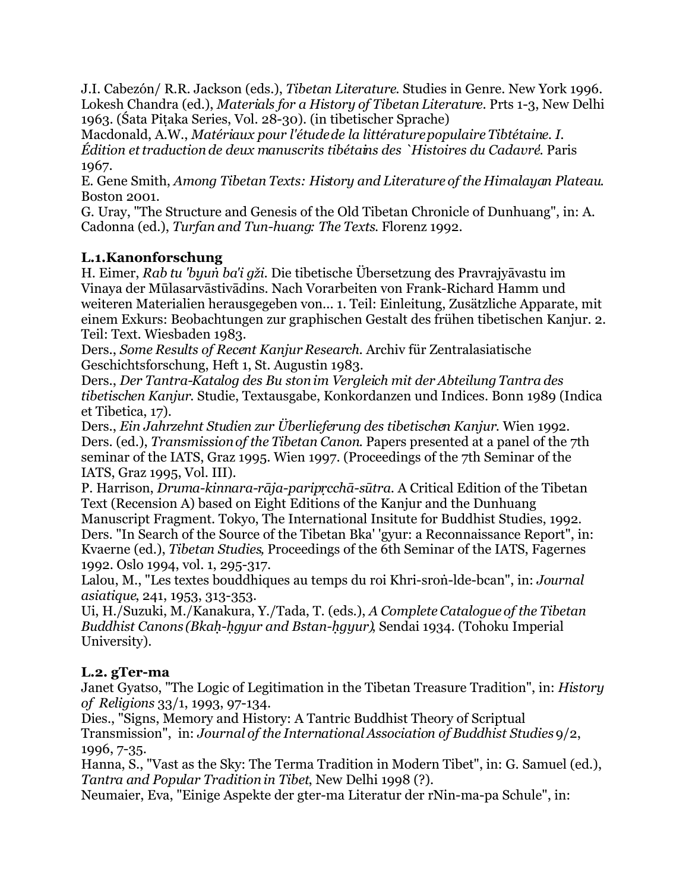J.I. Cabezón/ R.R. Jackson (eds.), *Tibetan Literature*. Studies in Genre. New York 1996. Lokesh Chandra (ed.), *Materials for a History of Tibetan Literature*. Prts 1-3, New Delhi 1963. (Śata Piṭaka Series, Vol. 28-30). (in tibetischer Sprache)

Macdonald, A.W., *Matériaux pour l'étude de la littérature populaire Tibtétaine. I. Édition et traduction de deux manuscrits tibétains des `Histoires du Cadavre'*. Paris 1967.

E. Gene Smith, *Among Tibetan Texts: History and Literature of the Himalayan Plateau*. Boston 2001.

G. Uray, "The Structure and Genesis of the Old Tibetan Chronicle of Dunhuang", in: A. Cadonna (ed.), *Turfan and Tun-huang: The Texts*. Florenz 1992.

# **L.1.Kanonforschung**

H. Eimer, *Rab tu 'byuṅ ba'i gži*. Die tibetische Übersetzung des Pravrajyāvastu im Vinaya der Mūlasarvāstivādins. Nach Vorarbeiten von Frank-Richard Hamm und weiteren Materialien herausgegeben von... 1. Teil: Einleitung, Zusätzliche Apparate, mit einem Exkurs: Beobachtungen zur graphischen Gestalt des frühen tibetischen Kanjur. 2. Teil: Text. Wiesbaden 1983.

Ders., *Some Results of Recent Kanjur Research*. Archiv für Zentralasiatische Geschichtsforschung, Heft 1, St. Augustin 1983.

Ders., *Der Tantra-Katalog des Bu ston im Vergleich mit der Abteilung Tantra des tibetischen Kanjur*. Studie, Textausgabe, Konkordanzen und Indices. Bonn 1989 (Indica et Tibetica, 17).

Ders., *Ein Jahrzehnt Studien zur Überlieferung des tibetischen Kanjur*. Wien 1992. Ders. (ed.), *Transmission of the Tibetan Canon*. Papers presented at a panel of the 7th seminar of the IATS, Graz 1995. Wien 1997. (Proceedings of the 7th Seminar of the IATS, Graz 1995, Vol. III).

P. Harrison, *Druma-kinnara-rāja-paripṛcchā-sūtra*. A Critical Edition of the Tibetan Text (Recension A) based on Eight Editions of the Kanjur and the Dunhuang Manuscript Fragment. Tokyo, The International Insitute for Buddhist Studies, 1992. Ders. "In Search of the Source of the Tibetan Bka' 'gyur: a Reconnaissance Report", in: Kvaerne (ed.), *Tibetan Studies,* Proceedings of the 6th Seminar of the IATS, Fagernes 1992. Oslo 1994, vol. 1, 295-317.

Lalou, M., "Les textes bouddhiques au temps du roi Khri-sroṅ-lde-bcan", in: *Journal asiatique*, 241, 1953, 313-353.

Ui, H./Suzuki, M./Kanakura, Y./Tada, T. (eds.), *A Complete Catalogue of the Tibetan Buddhist Canons (Bkaḥ-ḥgyur and Bstan-ḥgyur)*, Sendai 1934. (Tohoku Imperial University).

# **L.2. gTer-ma**

Janet Gyatso, "The Logic of Legitimation in the Tibetan Treasure Tradition", in: *History of Religions* 33/1, 1993, 97-134.

Dies., "Signs, Memory and History: A Tantric Buddhist Theory of Scriptual Transmission", in: *Journal of the International Association of Buddhist Studies*9/2, 1996, 7-35.

Hanna, S., "Vast as the Sky: The Terma Tradition in Modern Tibet", in: G. Samuel (ed.), *Tantra and Popular Tradition in Tibet*, New Delhi 1998 (?).

Neumaier, Eva, "Einige Aspekte der gter-ma Literatur der rNin-ma-pa Schule", in: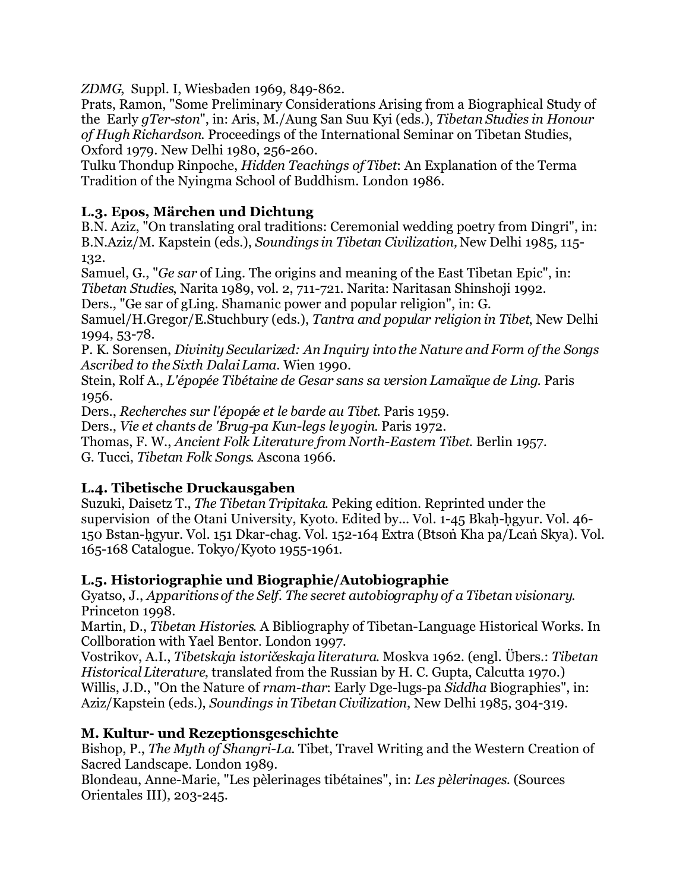*ZDMG*, Suppl. I, Wiesbaden 1969, 849-862.

Prats, Ramon, "Some Preliminary Considerations Arising from a Biographical Study of the Early *gTer-ston*", in: Aris, M./Aung San Suu Kyi (eds.), *Tibetan Studies in Honour of Hugh Richardson*. Proceedings of the International Seminar on Tibetan Studies, Oxford 1979. New Delhi 1980, 256-260.

Tulku Thondup Rinpoche, *Hidden Teachings of Tibet*: An Explanation of the Terma Tradition of the Nyingma School of Buddhism. London 1986.

#### **L.3. Epos, Märchen und Dichtung**

B.N. Aziz, "On translating oral traditions: Ceremonial wedding poetry from Dingri", in: B.N.Aziz/M. Kapstein (eds.), *Soundings in Tibetan Civilization,* New Delhi 1985, 115- 132.

Samuel, G., "*Ge sar* of Ling. The origins and meaning of the East Tibetan Epic", in: *Tibetan Studies*, Narita 1989, vol. 2, 711-721. Narita: Naritasan Shinshoji 1992.

Ders., "Ge sar of gLing. Shamanic power and popular religion", in: G.

Samuel/H.Gregor/E.Stuchbury (eds.), *Tantra and popular religion in Tibet*, New Delhi 1994, 53-78.

P. K. Sorensen, *Divinity Secularized: An Inquiry into the Nature and Form of the Songs Ascribed to the Sixth Dalai Lama*. Wien 1990.

Stein, Rolf A., *L'épopée Tibétaine de Gesar sans sa version Lamaïque de Ling*. Paris 1956.

Ders., *Recherches sur l'épopée et le barde au Tibet*. Paris 1959.

Ders., *Vie et chants de 'Brug-pa Kun-legs le yogin*. Paris 1972.

Thomas, F. W., *Ancient Folk Literature from North-Eastern Tibet*. Berlin 1957.

G. Tucci, *Tibetan Folk Songs*. Ascona 1966.

#### **L.4. Tibetische Druckausgaben**

Suzuki, Daisetz T., *The Tibetan Tripitaka*. Peking edition. Reprinted under the supervision of the Otani University, Kyoto. Edited by... Vol. 1-45 Bkaḥ-ḥgyur. Vol. 46- 150 Bstan-ḥgyur. Vol. 151 Dkar-chag. Vol. 152-164 Extra (Btsoṅ Kha pa/Lcaṅ Skya). Vol. 165-168 Catalogue. Tokyo/Kyoto 1955-1961.

# **L.5. Historiographie und Biographie/Autobiographie**

Gyatso, J., *Apparitions of the Self. The secret autobiography of a Tibetan visionary*. Princeton 1998.

Martin, D., *Tibetan Histories*. A Bibliography of Tibetan-Language Historical Works. In Collboration with Yael Bentor. London 1997.

Vostrikov, A.I., *Tibetskaja istoričeskaja literatura*. Moskva 1962. (engl. Übers.: *Tibetan Historical Literature*, translated from the Russian by H. C. Gupta, Calcutta 1970.) Willis, J.D., "On the Nature of *rnam-thar*: Early Dge-lugs-pa *Siddha* Biographies", in: Aziz/Kapstein (eds.), *Soundings in Tibetan Civilization*, New Delhi 1985, 304-319.

# **M. Kultur- und Rezeptionsgeschichte**

Bishop, P., *The Myth of Shangri-La*. Tibet, Travel Writing and the Western Creation of Sacred Landscape. London 1989.

Blondeau, Anne-Marie, "Les pèlerinages tibétaines", in: *Les pèlerinages*. (Sources Orientales III), 203-245.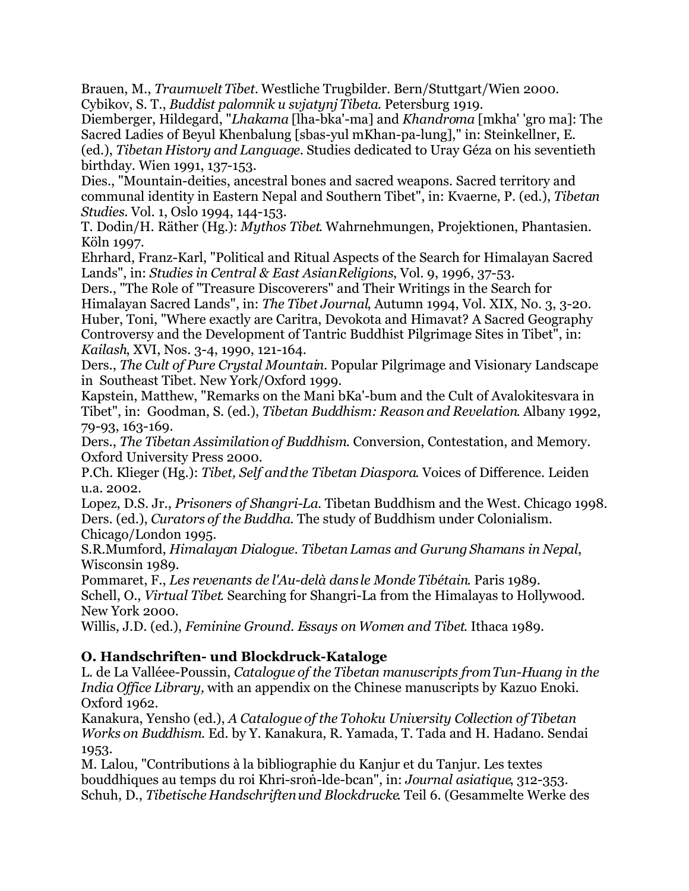Brauen, M., *Traumwelt Tibet.* Westliche Trugbilder. Bern/Stuttgart/Wien 2000. Cybikov, S. T., *Buddist palomnik u svjatynj Tibeta*. Petersburg 1919.

Diemberger, Hildegard, "*Lhakama* [lha-bka'-ma] and *Khandroma* [mkha' 'gro ma]: The Sacred Ladies of Beyul Khenbalung [sbas-yul mKhan-pa-lung]," in: Steinkellner, E. (ed.), *Tibetan History and Language.* Studies dedicated to Uray Géza on his seventieth birthday. Wien 1991, 137-153.

Dies., "Mountain-deities, ancestral bones and sacred weapons. Sacred territory and communal identity in Eastern Nepal and Southern Tibet", in: Kvaerne, P. (ed.), *Tibetan Studies*. Vol. 1, Oslo 1994, 144-153.

T. Dodin/H. Räther (Hg.): *Mythos Tibet*. Wahrnehmungen, Projektionen, Phantasien. Köln 1997.

Ehrhard, Franz-Karl, "Political and Ritual Aspects of the Search for Himalayan Sacred Lands", in: *Studies in Central & East Asian Religions*, Vol. 9, 1996, 37-53.

Ders., "The Role of "Treasure Discoverers" and Their Writings in the Search for Himalayan Sacred Lands", in: *The Tibet Journal*, Autumn 1994, Vol. XIX, No. 3, 3-20. Huber, Toni, "Where exactly are Caritra, Devokota and Himavat? A Sacred Geography Controversy and the Development of Tantric Buddhist Pilgrimage Sites in Tibet", in: *Kailash*, XVI, Nos. 3-4, 1990, 121-164.

Ders., *The Cult of Pure Crystal Mountain*. Popular Pilgrimage and Visionary Landscape in Southeast Tibet. New York/Oxford 1999.

Kapstein, Matthew, "Remarks on the Mani bKa'-bum and the Cult of Avalokitesvara in Tibet", in: Goodman, S. (ed.), *Tibetan Buddhism: Reason and Revelation*. Albany 1992, 79-93, 163-169.

Ders., *The Tibetan Assimilation of Buddhism*. Conversion, Contestation, and Memory. Oxford University Press 2000.

P.Ch. Klieger (Hg.): *Tibet, Self and the Tibetan Diaspora*. Voices of Difference. Leiden u.a. 2002.

Lopez, D.S. Jr., *Prisoners of Shangri-La*. Tibetan Buddhism and the West. Chicago 1998. Ders. (ed.), *Curators of the Buddha*. The study of Buddhism under Colonialism. Chicago/London 1995.

S.R.Mumford, *Himalayan Dialogue. Tibetan Lamas and Gurung Shamans in Nepal*, Wisconsin 1989.

Pommaret, F., *Les revenants de l'Au-delà dans le Monde Tibétain*. Paris 1989. Schell, O., *Virtual Tibet*. Searching for Shangri-La from the Himalayas to Hollywood. New York 2000.

Willis, J.D. (ed.), *Feminine Ground. Essays on Women and Tibet*. Ithaca 1989.

# **O. Handschriften- und Blockdruck-Kataloge**

L. de La Valléee-Poussin, *Catalogue of the Tibetan manuscripts from Tun-Huang in the India Office Library,* with an appendix on the Chinese manuscripts by Kazuo Enoki. Oxford 1962.

Kanakura, Yensho (ed.), *A Catalogue of the Tohoku University Collection of Tibetan Works on Buddhism*. Ed. by Y. Kanakura, R. Yamada, T. Tada and H. Hadano. Sendai 1953.

M. Lalou, "Contributions à la bibliographie du Kanjur et du Tanjur. Les textes bouddhiques au temps du roi Khri-sroṅ-lde-bcan", in: *Journal asiatique*, 312-353. Schuh, D., *Tibetische Handschriften und Blockdrucke*. Teil 6. (Gesammelte Werke des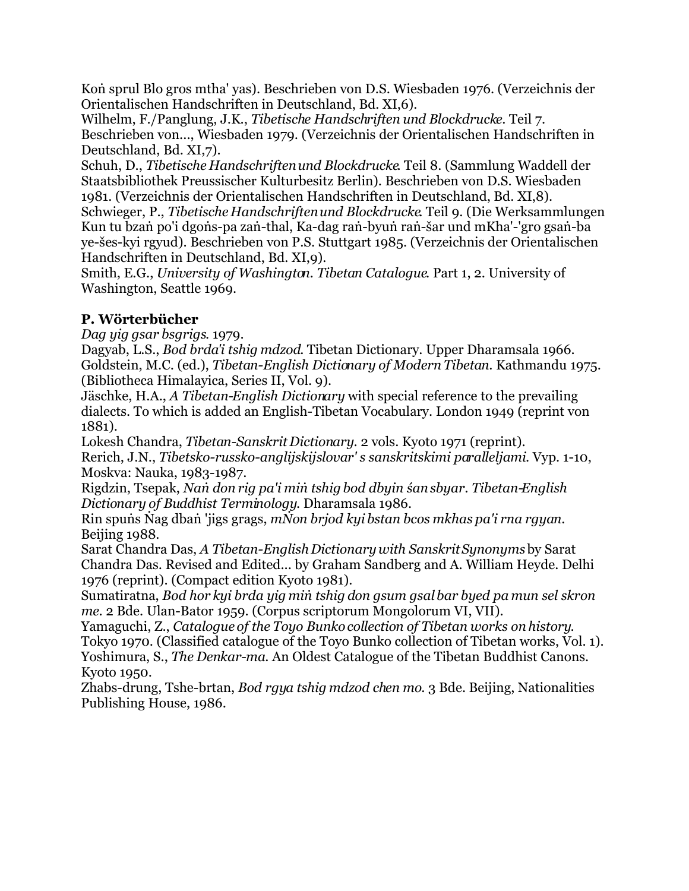Koṅ sprul Blo gros mtha' yas). Beschrieben von D.S. Wiesbaden 1976. (Verzeichnis der Orientalischen Handschriften in Deutschland, Bd. XI,6).

Wilhelm, F./Panglung, J.K., *Tibetische Handschriften und Blockdrucke*. Teil 7. Beschrieben von..., Wiesbaden 1979. (Verzeichnis der Orientalischen Handschriften in Deutschland, Bd. XI,7).

Schuh, D., *Tibetische Handschriften und Blockdrucke*. Teil 8. (Sammlung Waddell der Staatsbibliothek Preussischer Kulturbesitz Berlin). Beschrieben von D.S. Wiesbaden 1981. (Verzeichnis der Orientalischen Handschriften in Deutschland, Bd. XI,8).

Schwieger, P., *Tibetische Handschriften und Blockdrucke*. Teil 9. (Die Werksammlungen Kun tu bzaṅ po'i dgoṅs-pa zaṅ-thal, Ka-dag raṅ-byuṅ raṅ-šar und mKha'-'gro gsaṅ-ba ye-šes-kyi rgyud). Beschrieben von P.S. Stuttgart 1985. (Verzeichnis der Orientalischen Handschriften in Deutschland, Bd. XI,9).

Smith, E.G., *University of Washington. Tibetan Catalogue*. Part 1, 2. University of Washington, Seattle 1969.

# **P. Wörterbücher**

*Dag yig gsar bsgrigs*. 1979.

Dagyab, L.S., *Bod brda'i tshig mdzod*. Tibetan Dictionary. Upper Dharamsala 1966. Goldstein, M.C. (ed.), *Tibetan-English Dictionary of Modern Tibetan*. Kathmandu 1975. (Bibliotheca Himalayica, Series II, Vol. 9).

Jäschke, H.A., *A Tibetan-English Dictionary* with special reference to the prevailing dialects. To which is added an English-Tibetan Vocabulary. London 1949 (reprint von 1881).

Lokesh Chandra, *Tibetan-Sanskrit Dictionary*. 2 vols. Kyoto 1971 (reprint). Rerich, J.N., *Tibetsko-russko-anglijskij slovar' s sanskritskimi paralleljami*. Vyp. 1-10, Moskva: Nauka, 1983-1987.

Rigdzin, Tsepak, *Naṅ don rig pa'i miṅ tshig bod dbyin śan sbyar. Tibetan-English Dictionary of Buddhist Terminology*. Dharamsala 1986.

Rin spuṅs Ṅag dbaṅ 'jigs grags, *mṄon brjod kyi bstan bcos mkhas pa'i rna rgyan*. Beijing 1988.

Sarat Chandra Das, *A Tibetan-English Dictionary with Sanskrit Synonyms*by Sarat Chandra Das. Revised and Edited... by Graham Sandberg and A. William Heyde. Delhi 1976 (reprint). (Compact edition Kyoto 1981).

Sumatiratna, *Bod hor kyi brda yig miṅ tshig don gsum gsal bar byed pa mun sel skron me*. 2 Bde. Ulan-Bator 1959. (Corpus scriptorum Mongolorum VI, VII).

Yamaguchi, Z., *Catalogue of the Toyo Bunko collection of Tibetan works on history*. Tokyo 1970. (Classified catalogue of the Toyo Bunko collection of Tibetan works, Vol. 1). Yoshimura, S., *The Denkar-ma*. An Oldest Catalogue of the Tibetan Buddhist Canons. Kyoto 1950.

Zhabs-drung, Tshe-brtan, *Bod rgya tshig mdzod chen mo*. 3 Bde. Beijing, Nationalities Publishing House, 1986.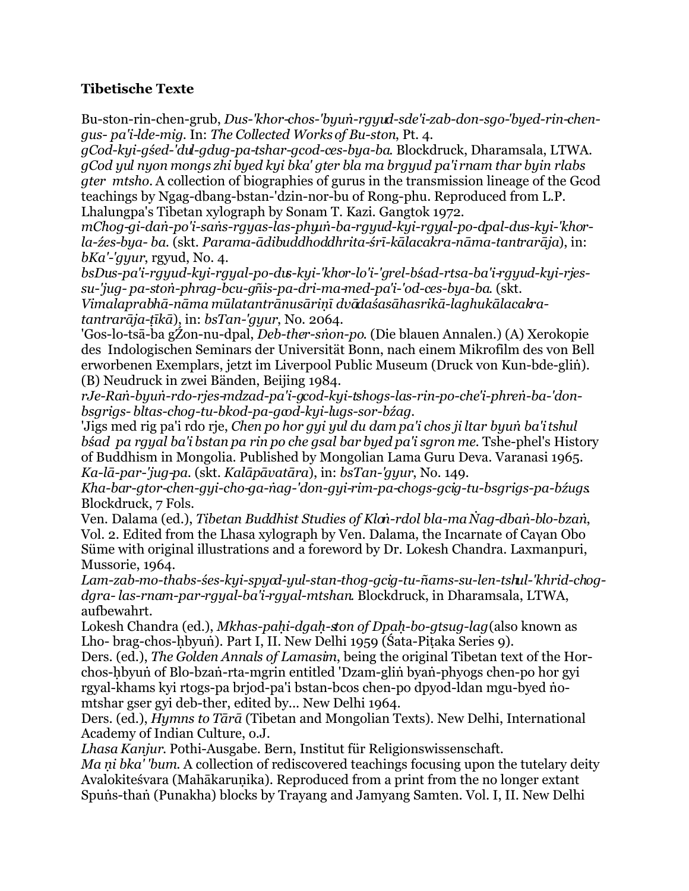#### **Tibetische Texte**

Bu-ston-rin-chen-grub, *Dus-'khor-chos-'byuṅ-rgyud-sde'i-zab-don-sgo-'byed-rin-chengus- pa'i-lde-mig*. In: *The Collected Works of Bu-ston*, Pt. 4.

*gCod-kyi-gśed-'dul-gdug-pa-tshar-gcod-ces-bya-ba*. Blockdruck, Dharamsala, LTWA. *gCod yul nyon mongs zhi byed kyi bka' gter bla ma brgyud pa'i rnam thar byin rlabs gter mtsho.* A collection of biographies of gurus in the transmission lineage of the Gcod teachings by Ngag-dbang-bstan-'dzin-nor-bu of Rong-phu. Reproduced from L.P. Lhalungpa's Tibetan xylograph by Sonam T. Kazi. Gangtok 1972.

*mChog-gi-daṅ-po'i-saṅs-rgyas-las-phyuṅ-ba-rgyud-kyi-rgyal-po-dpal-dus-kyi-'khorla-źes-bya- ba*. (skt. *Parama-ādibuddhoddhrita-śrī-kālacakra-nāma-tantrarāja*), in: *bKa'-'gyur*, rgyud, No. 4.

*bsDus-pa'i-rgyud-kyi-rgyal-po-dus-kyi-'khor-lo'i-'grel-bśad-rtsa-ba'i-rgyud-kyi-rjessu-'jug- pa-stoṅ-phrag-bcu-gñis-pa-dri-ma-med-pa'i-'od-ces-bya-ba*. (skt. *Vimalaprabhā-nāma mūlatantrānusāriṇī dvādaśasāhasrikā-laghukālacakratantrarāja-ṭīkā*), in: *bsTan-'gyur*, No. 2064.

'Gos-lo-tsā-ba gŹon-nu-dpal, *Deb-ther-sṅon-po*. (Die blauen Annalen.) (A) Xerokopie des Indologischen Seminars der Universität Bonn, nach einem Mikrofilm des von Bell erworbenen Exemplars, jetzt im Liverpool Public Museum (Druck von Kun-bde-gliṅ). (B) Neudruck in zwei Bänden, Beijing 1984.

*rJe-Raṅ-byuṅ-rdo-rjes-mdzad-pa'i-gcod-kyi-tshogs-las-rin-po-che'i-phreṅ-ba-'donbsgrigs- bltas-chog-tu-bkod-pa-gcod-kyi-lugs-sor-bźag.*

'Jigs med rig pa'i rdo rje, *Chen po hor gyi yul du dam pa'i chos ji ltar byuṅ ba'i tshul bśad pa rgyal ba'i bstan pa rin po che gsal bar byed pa'i sgron me*. Tshe-phel's History of Buddhism in Mongolia. Published by Mongolian Lama Guru Deva. Varanasi 1965. *Ka-lā-par-'jug-pa*. (skt. *Kalāpāvatāra*), in: *bsTan-'gyur*, No. 149.

*Kha-bar-gtor-chen-gyi-cho-ga-ṅag-'don-gyi-rim-pa-chogs-gcig-tu-bsgrigs-pa-bźugs*. Blockdruck, 7 Fols.

Ven. Dalama (ed.), *Tibetan Buddhist Studies of Kloṅ-rdol bla-ma Ṅag-dbaṅ-blo-bzaṅ*, Vol. 2. Edited from the Lhasa xylograph by Ven. Dalama, the Incarnate of Caγan Obo Süme with original illustrations and a foreword by Dr. Lokesh Chandra. Laxmanpuri, Mussorie, 1964.

*Lam-zab-mo-thabs-śes-kyi-spyod-yul-stan-thog-gcig-tu-ñams-su-len-tshul-'khrid-chogdgra- las-rnam-par-rgyal-ba'i-rgyal-mtshan*. Blockdruck, in Dharamsala, LTWA, aufbewahrt.

Lokesh Chandra (ed.), *Mkhas-paḥi-dgaḥ-ston of Dpaḥ-bo-gtsug-lag* (also known as Lho- brag-chos-ḥbyuṅ). Part I, II. New Delhi 1959 (Śata-Piṭaka Series 9).

Ders. (ed.), *The Golden Annals of Lamasim*, being the original Tibetan text of the Horchos-ḥbyuṅ of Blo-bzaṅ-rta-mgrin entitled 'Dzam-gliṅ byaṅ-phyogs chen-po hor gyi rgyal-khams kyi rtogs-pa brjod-pa'i bstan-bcos chen-po dpyod-ldan mgu-byed ṅomtshar gser gyi deb-ther, edited by... New Delhi 1964.

Ders. (ed.), *Hymns to Tārā* (Tibetan and Mongolian Texts). New Delhi, International Academy of Indian Culture, o.J.

*Lhasa Kanjur*. Pothi-Ausgabe. Bern, Institut für Religionswissenschaft.

*Ma ṇi bka' 'bum*. A collection of rediscovered teachings focusing upon the tutelary deity Avalokiteśvara (Mahākaruṇika). Reproduced from a print from the no longer extant Spuṅs-thaṅ (Punakha) blocks by Trayang and Jamyang Samten. Vol. I, II. New Delhi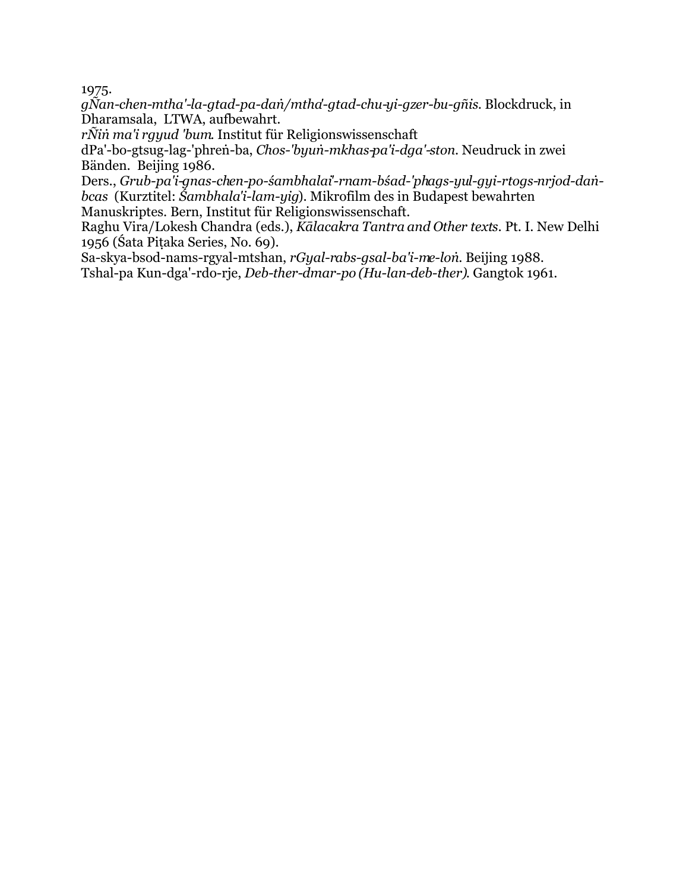1975.

*gÑan-chen-mtha'-la-gtad-pa-daṅ/mtha'-gtad-chu-yi-gzer-bu-gñis*. Blockdruck, in Dharamsala, LTWA, aufbewahrt.

*rÑiṅ ma'i rgyud 'bum*. Institut für Religionswissenschaft

dPa'-bo-gtsug-lag-'phreṅ-ba, *Chos-'byuṅ-mkhas-pa'i-dga'-ston*. Neudruck in zwei Bänden. Beijing 1986.

Ders., *Grub-pa'i-gnas-chen-po-śambhalai'-rnam-bśad-'phags-yul-gyi-rtogs-nrjod-daṅbcas* (Kurztitel: *Śambhala'i-lam-yig*). Mikrofilm des in Budapest bewahrten Manuskriptes. Bern, Institut für Religionswissenschaft.

Raghu Vira/Lokesh Chandra (eds.), *Kālacakra Tantra and Other texts*. Pt. I. New Delhi 1956 (Śata Piṭaka Series, No. 69).

Sa-skya-bsod-nams-rgyal-mtshan, *rGyal-rabs-gsal-ba'i-me-loṅ*. Beijing 1988. Tshal-pa Kun-dga'-rdo-rje, *Deb-ther-dmar-po (Hu-lan-deb-ther)*. Gangtok 1961.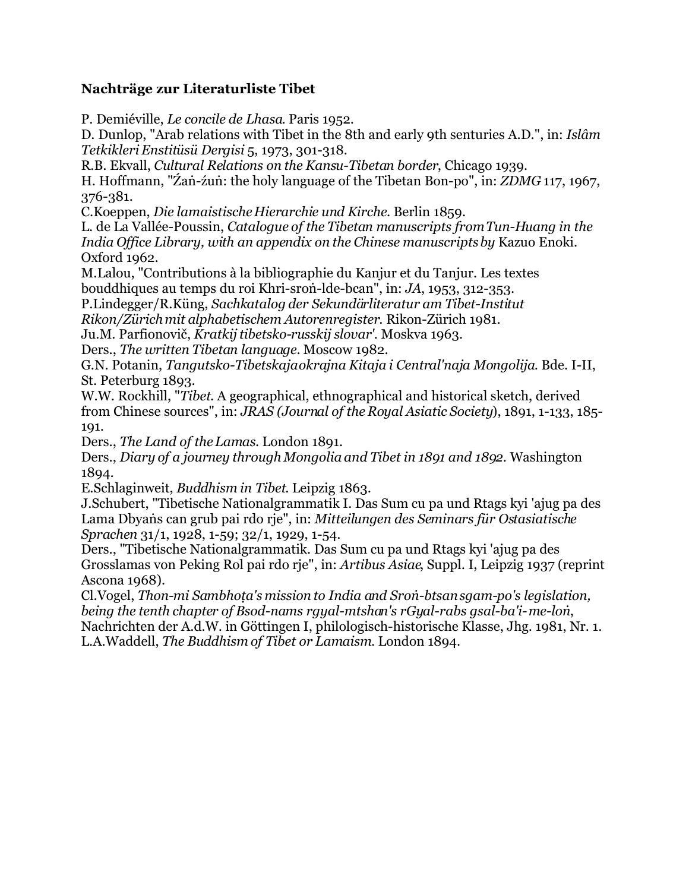#### **Nachträge zur Literaturliste Tibet**

P. Demiéville, *Le concile de Lhasa*. Paris 1952.

D. Dunlop, "Arab relations with Tibet in the 8th and early 9th senturies A.D.", in: *Islâm Tetkikleri Enstitüsü Dergisi* 5, 1973, 301-318.

R.B. Ekvall, *Cultural Relations on the Kansu-Tibetan border*, Chicago 1939.

H. Hoffmann, "Źaṅ-źuṅ: the holy language of the Tibetan Bon-po", in: *ZDMG* 117, 1967, 376-381.

C.Koeppen, *Die lamaistische Hierarchie und Kirche*. Berlin 1859.

L. de La Vallée-Poussin, *Catalogue of the Tibetan manuscripts from Tun-Huang in the India Office Library, with an appendix on the Chinese manuscripts by* Kazuo Enoki. Oxford 1962.

M.Lalou, "Contributions à la bibliographie du Kanjur et du Tanjur. Les textes bouddhiques au temps du roi Khri-sroṅ-lde-bcan", in: *JA*, 1953, 312-353.

P.Lindegger/R.Küng, *Sachkatalog der Sekundärliteratur am Tibet-Institut*

*Rikon/Zürich mit alphabetischem Autorenregister*. Rikon-Zürich 1981.

Ju.M. Parfionovič, *Kratkij tibetsko-russkij slovar'*. Moskva 1963.

Ders., *The written Tibetan language.* Moscow 1982.

G.N. Potanin, *Tangutsko-Tibetskaja okrajna Kitaja i Central'naja Mongolija*. Bde. I-II, St. Peterburg 1893.

W.W. Rockhill, "*Tibet*. A geographical, ethnographical and historical sketch, derived from Chinese sources", in: *JRAS (Journal of the Royal Asiatic Society*), 1891, 1-133, 185- 191.

Ders., *The Land of the Lamas*. London 1891.

Ders., *Diary of a journey through Mongolia and Tibet in 1891 and 1892*. Washington 1894.

E.Schlaginweit, *Buddhism in Tibet*. Leipzig 1863.

J.Schubert, "Tibetische Nationalgrammatik I. Das Sum cu pa und Rtags kyi 'ajug pa des Lama Dbyaṅs can grub pai rdo rje", in: *Mitteilungen des Seminars für Ostasiatische Sprachen* 31/1, 1928, 1-59; 32/1, 1929, 1-54.

Ders., "Tibetische Nationalgrammatik. Das Sum cu pa und Rtags kyi 'ajug pa des Grosslamas von Peking Rol pai rdo rje", in: *Artibus Asiae*, Suppl. I, Leipzig 1937 (reprint Ascona 1968).

Cl.Vogel, *Thon-mi Sambhoṭa's mission to India and Sroṅ-btsan sgam-po's legislation, being the tenth chapter of Bsod-nams rgyal-mtshan's rGyal-rabs gsal-ba'i- me-loṅ*, Nachrichten der A.d.W. in Göttingen I, philologisch-historische Klasse, Jhg. 1981, Nr. 1. L.A.Waddell, *The Buddhism of Tibet or Lamaism*. London 1894.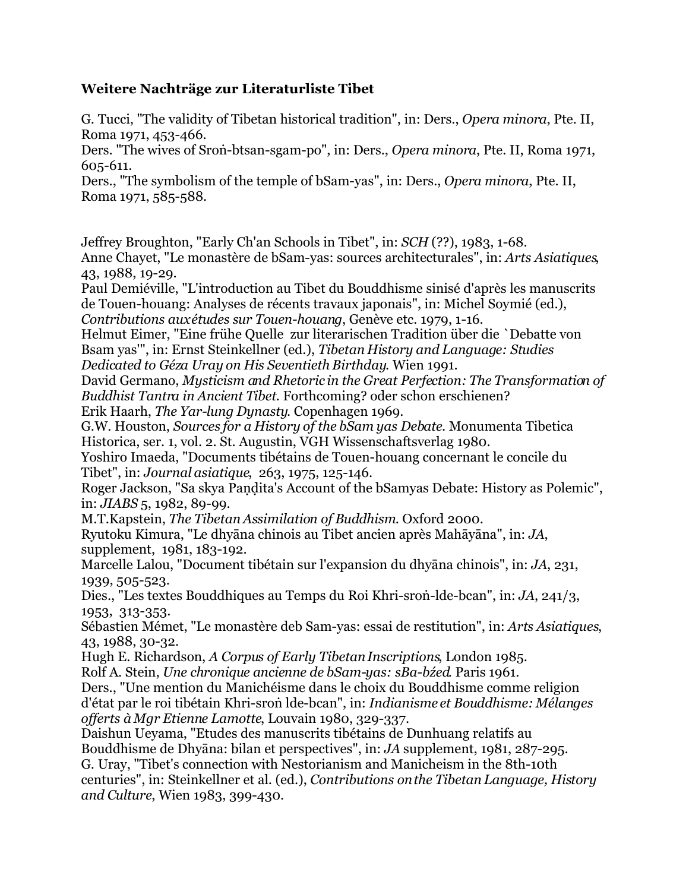#### **Weitere Nachträge zur Literaturliste Tibet**

G. Tucci, "The validity of Tibetan historical tradition", in: Ders., *Opera minora*, Pte. II, Roma 1971, 453-466.

Ders. "The wives of Sroṅ-btsan-sgam-po", in: Ders., *Opera minora*, Pte. II, Roma 1971, 605-611.

Ders., "The symbolism of the temple of bSam-yas", in: Ders., *Opera minora*, Pte. II, Roma 1971, 585-588.

Jeffrey Broughton, "Early Ch'an Schools in Tibet", in: *SCH* (??), 1983, 1-68.

Anne Chayet, "Le monastère de bSam-yas: sources architecturales", in: *Arts Asiatiques*, 43, 1988, 19-29.

Paul Demiéville, "L'introduction au Tibet du Bouddhisme sinisé d'après les manuscrits de Touen-houang: Analyses de récents travaux japonais", in: Michel Soymié (ed.), *Contributions aux études sur Touen-houang*, Genève etc. 1979, 1-16.

Helmut Eimer, "Eine frühe Quelle zur literarischen Tradition über die `Debatte von Bsam yas'", in: Ernst Steinkellner (ed.), *Tibetan History and Language: Studies Dedicated to Géza Uray on His Seventieth Birthday*. Wien 1991.

David Germano, *Mysticism and Rhetoric in the Great Perfection: The Transformation of Buddhist Tantra in Ancient Tibet*. Forthcoming? oder schon erschienen?

Erik Haarh, *The Yar-lung Dynasty*. Copenhagen 1969.

G.W. Houston, *Sources for a History of the bSam yas Debate*. Monumenta Tibetica Historica, ser. 1, vol. 2. St. Augustin, VGH Wissenschaftsverlag 1980.

Yoshiro Imaeda, "Documents tibétains de Touen-houang concernant le concile du Tibet", in: *Journal asiatique*, 263, 1975, 125-146.

Roger Jackson, "Sa skya Paṇḍita's Account of the bSamyas Debate: History as Polemic", in: *JIABS* 5, 1982, 89-99.

M.T.Kapstein, *The Tibetan Assimilation of Buddhism*. Oxford 2000.

Ryutoku Kimura, "Le dhyāna chinois au Tibet ancien après Mahāyāna", in: *JA*, supplement, 1981, 183-192.

Marcelle Lalou, "Document tibétain sur l'expansion du dhyāna chinois", in: *JA*, 231, 1939, 505-523.

Dies., "Les textes Bouddhiques au Temps du Roi Khri-sroṅ-lde-bcan", in: *JA*, 241/3, 1953, 313-353.

Sébastien Mémet, "Le monastère deb Sam-yas: essai de restitution", in: *Arts Asiatiques*, 43, 1988, 30-32.

Hugh E. Richardson, *A Corpus of Early Tibetan Inscriptions*, London 1985.

Rolf A. Stein, *Une chronique ancienne de bSam-yas: sBa-bźed*. Paris 1961.

Ders., "Une mention du Manichéisme dans le choix du Bouddhisme comme religion d'état par le roi tibétain Khri-sroṅ lde-bcan", in: *Indianisme et Bouddhisme: Mélanges offerts à Mgr Etienne Lamotte*, Louvain 1980, 329-337.

Daishun Ueyama, "Etudes des manuscrits tibétains de Dunhuang relatifs au Bouddhisme de Dhyāna: bilan et perspectives", in: *JA* supplement, 1981, 287-295. G. Uray, "Tibet's connection with Nestorianism and Manicheism in the 8th-10th centuries", in: Steinkellner et al. (ed.), *Contributions on the Tibetan Language, History*

*and Culture*, Wien 1983, 399-430.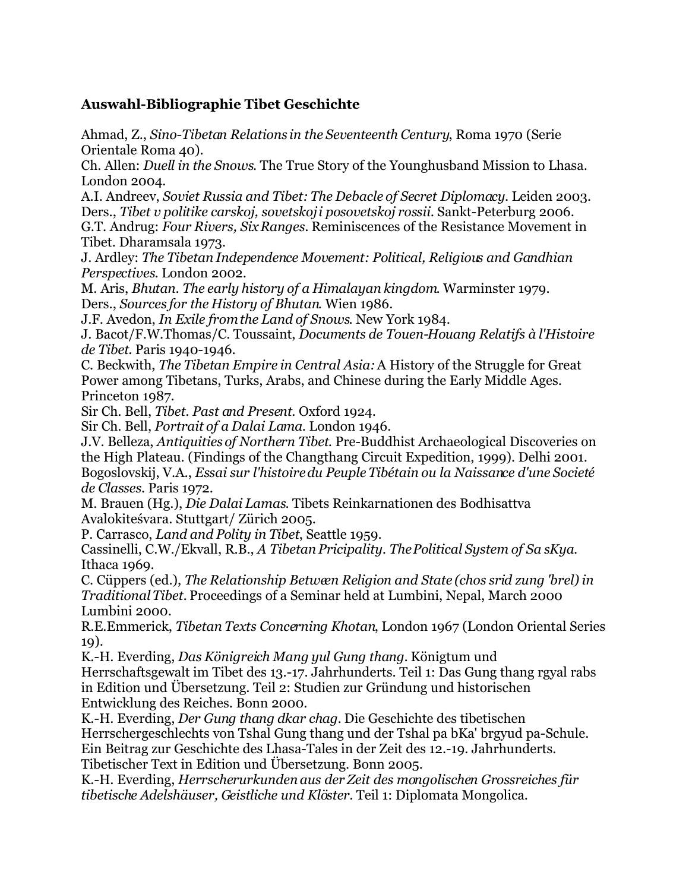#### **Auswahl-Bibliographie Tibet Geschichte**

Ahmad, Z., *Sino-Tibetan Relations in the Seventeenth Century*, Roma 1970 (Serie Orientale Roma 40).

Ch. Allen: *Duell in the Snows*. The True Story of the Younghusband Mission to Lhasa. London 2004.

A.I. Andreev, *Soviet Russia and Tibet: The Debacle of Secret Diplomacy*. Leiden 2003. Ders., *Tibet v politike carskoj, sovetskoj i posovetskoj rossii.* Sankt-Peterburg 2006.

G.T. Andrug: *Four Rivers, Six Ranges.* Reminiscences of the Resistance Movement in Tibet. Dharamsala 1973.

J. Ardley: *The Tibetan Independence Movement: Political, Religious and Gandhian Perspectives*. London 2002.

M. Aris, *Bhutan. The early history of a Himalayan kingdom*. Warminster 1979. Ders., *Sources for the History of Bhutan*. Wien 1986.

J.F. Avedon, *In Exile from the Land of Snows*. New York 1984.

J. Bacot/F.W.Thomas/C. Toussaint, *Documents de Touen-Houang Relatifs à l'Histoire de Tibet*. Paris 1940-1946.

C. Beckwith, *The Tibetan Empire in Central Asia:*A History of the Struggle for Great Power among Tibetans, Turks, Arabs, and Chinese during the Early Middle Ages. Princeton 1987.

Sir Ch. Bell, *Tibet. Past and Present*. Oxford 1924.

Sir Ch. Bell, *Portrait of a Dalai Lama*. London 1946.

J.V. Belleza, *Antiquities of Northern Tibet*. Pre-Buddhist Archaeological Discoveries on the High Plateau. (Findings of the Changthang Circuit Expedition, 1999). Delhi 2001. Bogoslovskij, V.A., *Essai sur l'histoire du Peuple Tibétain ou la Naissance d'une Societé de Classes*. Paris 1972.

M. Brauen (Hg.), *Die Dalai Lamas*. Tibets Reinkarnationen des Bodhisattva Avalokiteśvara. Stuttgart/ Zürich 2005.

P. Carrasco, *Land and Polity in Tibet*, Seattle 1959.

Cassinelli, C.W./Ekvall, R.B., *A Tibetan Pricipality. The Political System of Sa sKya*. Ithaca 1969.

C. Cüppers (ed.), *The Relationship Between Religion and State (chos srid zung 'brel) in Traditional Tibet.* Proceedings of a Seminar held at Lumbini, Nepal, March 2000 Lumbini 2000.

R.E.Emmerick, *Tibetan Texts Concerning Khotan*, London 1967 (London Oriental Series 19).

K.-H. Everding, *Das Königreich Mang yul Gung thang.* Königtum und Herrschaftsgewalt im Tibet des 13.-17. Jahrhunderts. Teil 1: Das Gung thang rgyal rabs in Edition und Übersetzung. Teil 2: Studien zur Gründung und historischen Entwicklung des Reiches. Bonn 2000.

K.-H. Everding, *Der Gung thang dkar chag.* Die Geschichte des tibetischen Herrschergeschlechts von Tshal Gung thang und der Tshal pa bKa' brgyud pa-Schule. Ein Beitrag zur Geschichte des Lhasa-Tales in der Zeit des 12.-19. Jahrhunderts. Tibetischer Text in Edition und Übersetzung. Bonn 2005.

K.-H. Everding, *Herrscherurkunden aus der Zeit des mongolischen Grossreiches für tibetische Adelshäuser, Geistliche und Klöster.* Teil 1: Diplomata Mongolica.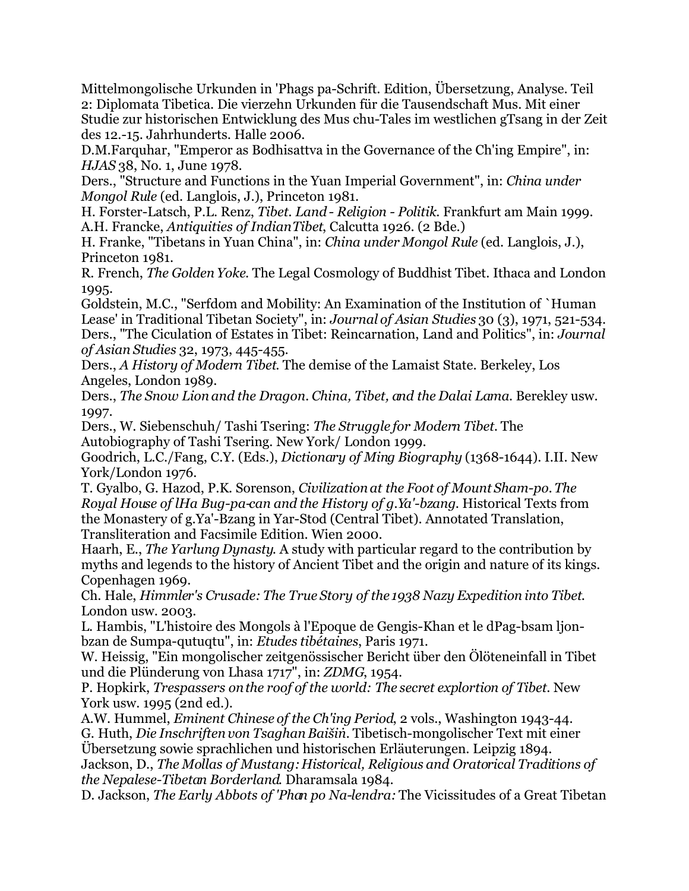Mittelmongolische Urkunden in 'Phags pa-Schrift. Edition, Übersetzung, Analyse. Teil 2: Diplomata Tibetica. Die vierzehn Urkunden für die Tausendschaft Mus. Mit einer Studie zur historischen Entwicklung des Mus chu-Tales im westlichen gTsang in der Zeit des 12.-15. Jahrhunderts. Halle 2006.

D.M.Farquhar, "Emperor as Bodhisattva in the Governance of the Ch'ing Empire", in: *HJAS* 38, No. 1, June 1978.

Ders., "Structure and Functions in the Yuan Imperial Government", in: *China under Mongol Rule* (ed. Langlois, J.), Princeton 1981.

H. Forster-Latsch, P.L. Renz, *Tibet. Land - Religion - Politik*. Frankfurt am Main 1999. A.H. Francke, *Antiquities of Indian Tibet*, Calcutta 1926. (2 Bde.)

H. Franke, "Tibetans in Yuan China", in: *China under Mongol Rule* (ed. Langlois, J.), Princeton 1981.

R. French, *The Golden Yoke*. The Legal Cosmology of Buddhist Tibet. Ithaca and London 1995.

Goldstein, M.C., "Serfdom and Mobility: An Examination of the Institution of `Human Lease' in Traditional Tibetan Society", in: *Journal of Asian Studies* 30 (3), 1971, 521-534. Ders., "The Ciculation of Estates in Tibet: Reincarnation, Land and Politics", in: *Journal of Asian Studies* 32, 1973, 445-455.

Ders., *A History of Modern Tibet*. The demise of the Lamaist State. Berkeley, Los Angeles, London 1989.

Ders., *The Snow Lion and the Dragon. China, Tibet, and the Dalai Lama*. Berekley usw. 1997.

Ders., W. Siebenschuh/ Tashi Tsering: *The Struggle for Modern Tibet.* The Autobiography of Tashi Tsering. New York/ London 1999.

Goodrich, L.C./Fang, C.Y. (Eds.), *Dictionary of Ming Biography* (1368-1644). I.II. New York/London 1976.

T. Gyalbo, G. Hazod, P.K. Sorenson, *Civilization at the Foot of Mount Sham-po. The Royal House of lHa Bug-pa-can and the History of g.Ya'-bzang*. Historical Texts from the Monastery of g.Ya'-Bzang in Yar-Stod (Central Tibet). Annotated Translation, Transliteration and Facsimile Edition. Wien 2000.

Haarh, E., *The Yarlung Dynasty*. A study with particular regard to the contribution by myths and legends to the history of Ancient Tibet and the origin and nature of its kings. Copenhagen 1969.

Ch. Hale, *Himmler's Crusade: The True Story of the 1938 Nazy Expedition into Tibet*. London usw. 2003.

L. Hambis, "L'histoire des Mongols à l'Epoque de Gengis-Khan et le dPag-bsam ljonbzan de Sumpa-qutuqtu", in: *Etudes tibétaines*, Paris 1971.

W. Heissig, "Ein mongolischer zeitgenössischer Bericht über den Ölöteneinfall in Tibet und die Plünderung von Lhasa 1717", in: *ZDMG*, 1954.

P. Hopkirk, *Trespassers on the roof of the world: The secret explortion of Tibet*. New York usw. 1995 (2nd ed.).

A.W. Hummel, *Eminent Chinese of the Ch'ing Period*, 2 vols., Washington 1943-44. G. Huth, *Die Inschriften von Tsaghan Baišiṅ.* Tibetisch-mongolischer Text mit einer

Übersetzung sowie sprachlichen und historischen Erläuterungen. Leipzig 1894.

Jackson, D., *The Mollas of Mustang: Historical, Religious and Oratorical Traditions of the Nepalese-Tibetan Borderland*. Dharamsala 1984.

D. Jackson, *The Early Abbots of 'Phan po Na-lendra:* The Vicissitudes of a Great Tibetan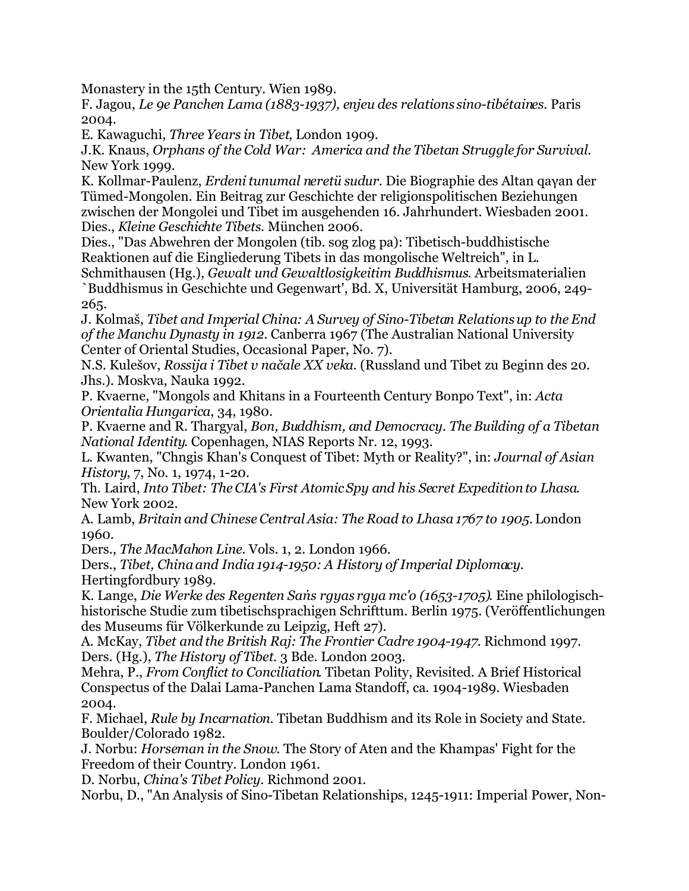Monastery in the 15th Century. Wien 1989.

F. Jagou, *Le 9e Panchen Lama (1883-1937), enjeu des relations sino-tibétaines*. Paris 2004.

E. Kawaguchi, *Three Years in Tibet*, London 1909.

J.K. Knaus, *Orphans of the Cold War: America and the Tibetan Struggle for Survival*. New York 1999.

K. Kollmar-Paulenz, *Erdeni tunumal neretü sudur*. Die Biographie des Altan qaγan der Tümed-Mongolen. Ein Beitrag zur Geschichte der religionspolitischen Beziehungen zwischen der Mongolei und Tibet im ausgehenden 16. Jahrhundert. Wiesbaden 2001. Dies., *Kleine Geschichte Tibets*. München 2006.

Dies., "Das Abwehren der Mongolen (tib. sog zlog pa): Tibetisch-buddhistische Reaktionen auf die Eingliederung Tibets in das mongolische Weltreich", in L.

Schmithausen (Hg.), *Gewalt und Gewaltlosigkeit im Buddhismus*. Arbeitsmaterialien `Buddhismus in Geschichte und Gegenwart', Bd. X, Universität Hamburg, 2006, 249- 265.

J. Kolmaš, *Tibet and Imperial China: A Survey of Sino-Tibetan Relations up to the End of the Manchu Dynasty in 1912*. Canberra 1967 (The Australian National University Center of Oriental Studies, Occasional Paper, No. 7).

N.S. Kulešov, *Rossija i Tibet v načale XX veka*. (Russland und Tibet zu Beginn des 20. Jhs.). Moskva, Nauka 1992.

P. Kvaerne, "Mongols and Khitans in a Fourteenth Century Bonpo Text", in: *Acta Orientalia Hungarica*, 34, 1980.

P. Kvaerne and R. Thargyal, *Bon, Buddhism, and Democracy. The Building of a Tibetan National Identity*. Copenhagen, NIAS Reports Nr. 12, 1993.

L. Kwanten, "Chngis Khan's Conquest of Tibet: Myth or Reality?", in: *Journal of Asian History*, 7, No. 1, 1974, 1-20.

Th. Laird, *Into Tibet: The CIA's First Atomic Spy and his Secret Expedition to Lhasa*. New York 2002.

A. Lamb, *Britain and Chinese Central Asia: The Road to Lhasa 1767 to 1905.* London 1960.

Ders., *The MacMahon Line*. Vols. 1, 2. London 1966.

Ders., *Tibet, China and India 1914-1950: A History of Imperial Diplomacy*. Hertingfordbury 1989.

K. Lange, *Die Werke des Regenten Saṅs rgyas rgya mc'o (1653-1705)*. Eine philologischhistorische Studie zum tibetischsprachigen Schrifttum. Berlin 1975. (Veröffentlichungen des Museums für Völkerkunde zu Leipzig, Heft 27).

A. McKay, *Tibet and the British Raj: The Frontier Cadre 1904-1947*. Richmond 1997. Ders. (Hg.), *The History of Tibet*. 3 Bde. London 2003.

Mehra, P., *From Conflict to Conciliation*. Tibetan Polity, Revisited. A Brief Historical Conspectus of the Dalai Lama-Panchen Lama Standoff, ca. 1904-1989. Wiesbaden 2004.

F. Michael, *Rule by Incarnation*. Tibetan Buddhism and its Role in Society and State. Boulder/Colorado 1982.

J. Norbu: *Horseman in the Snow.* The Story of Aten and the Khampas' Fight for the Freedom of their Country. London 1961.

D. Norbu, *China's Tibet Policy*. Richmond 2001.

Norbu, D., "An Analysis of Sino-Tibetan Relationships, 1245-1911: Imperial Power, Non-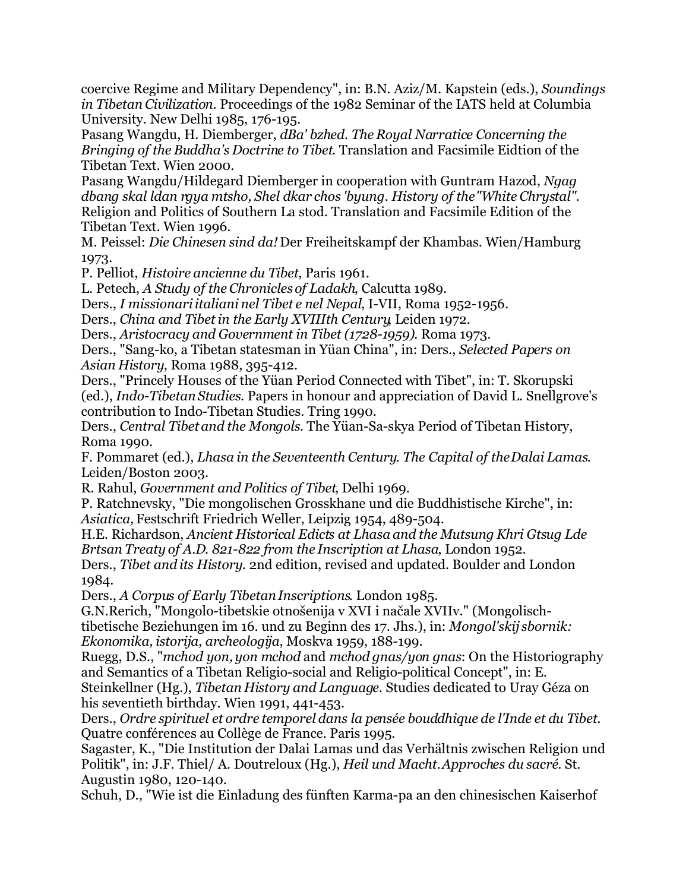coercive Regime and Military Dependency", in: B.N. Aziz/M. Kapstein (eds.), *Soundings in Tibetan Civilization*. Proceedings of the 1982 Seminar of the IATS held at Columbia University. New Delhi 1985, 176-195.

Pasang Wangdu, H. Diemberger, *dBa' bzhed. The Royal Narratice Concerning the Bringing of the Buddha's Doctrine to Tibet*. Translation and Facsimile Eidtion of the Tibetan Text. Wien 2000.

Pasang Wangdu/Hildegard Diemberger in cooperation with Guntram Hazod, *Ngag dbang skal ldan rgya mtsho, Shel dkar chos 'byung. History of the "White Chrystal"*. Religion and Politics of Southern La stod. Translation and Facsimile Edition of the Tibetan Text. Wien 1996.

M. Peissel: *Die Chinesen sind da!* Der Freiheitskampf der Khambas. Wien/Hamburg 1973.

P. Pelliot, *Histoire ancienne du Tibet*, Paris 1961.

L. Petech, *A Study of the Chronicles of Ladakh*, Calcutta 1989.

Ders., *I missionari italiani nel Tibet e nel Nepal*, I-VII, Roma 1952-1956.

Ders., *China and Tibet in the Early XVIIIth Century*, Leiden 1972.

Ders., *Aristocracy and Government in Tibet (1728-1959).* Roma 1973.

Ders., "Sang-ko, a Tibetan statesman in Yüan China", in: Ders., *Selected Papers on Asian History*, Roma 1988, 395-412.

Ders., "Princely Houses of the Yüan Period Connected with Tibet", in: T. Skorupski (ed.), *Indo-Tibetan Studies*. Papers in honour and appreciation of David L. Snellgrove's contribution to Indo-Tibetan Studies. Tring 1990.

Ders., *Central Tibet and the Mongols*. The Yüan-Sa-skya Period of Tibetan History, Roma 1990.

F. Pommaret (ed.), *Lhasa in the Seventeenth Century. The Capital of the Dalai Lamas*. Leiden/Boston 2003.

R. Rahul, *Government and Politics of Tibet*, Delhi 1969.

P. Ratchnevsky, "Die mongolischen Grosskhane und die Buddhistische Kirche", in: *Asiatica,* Festschrift Friedrich Weller, Leipzig 1954, 489-504.

H.E. Richardson, *Ancient Historical Edicts at Lhasa and the Mutsung Khri Gtsug Lde Brtsan Treaty of A.D. 821-822 from the Inscription at Lhasa*, London 1952.

Ders., *Tibet and its History*. 2nd edition, revised and updated. Boulder and London 1984.

Ders., *A Corpus of Early Tibetan Inscriptions*. London 1985.

G.N.Rerich, "Mongolo-tibetskie otnošenija v XVI i načale XVIIv." (Mongolischtibetische Beziehungen im 16. und zu Beginn des 17. Jhs.), in: *Mongol'skij sbornik: Ekonomika, istorija, archeologija*, Moskva 1959, 188-199.

Ruegg, D.S., "*mchod yon, yon mchod* and *mchod gnas/yon gnas*: On the Historiography and Semantics of a Tibetan Religio-social and Religio-political Concept", in: E.

Steinkellner (Hg.), *Tibetan History and Language*. Studies dedicated to Uray Géza on his seventieth birthday. Wien 1991, 441-453.

Ders., *Ordre spirituel et ordre temporel dans la pensée bouddhique de l'Inde et du Tibet*. Quatre conférences au Collège de France. Paris 1995.

Sagaster, K., "Die Institution der Dalai Lamas und das Verhältnis zwischen Religion und Politik", in: J.F. Thiel/ A. Doutreloux (Hg.), *Heil und Macht. Approches du sacré*. St. Augustin 1980, 120-140.

Schuh, D., "Wie ist die Einladung des fünften Karma-pa an den chinesischen Kaiserhof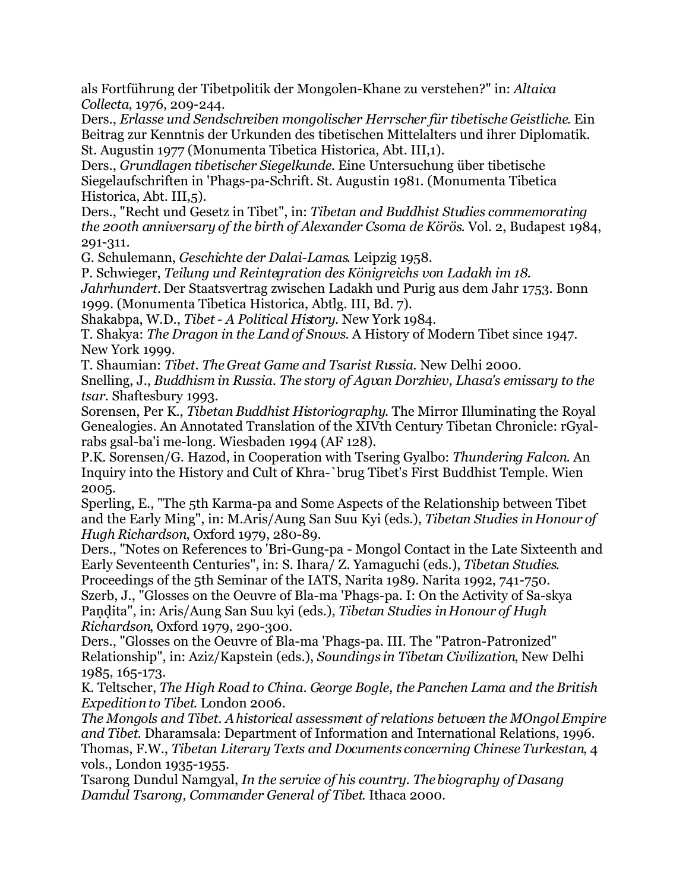als Fortführung der Tibetpolitik der Mongolen-Khane zu verstehen?" in: *Altaica Collecta*, 1976, 209-244.

Ders., *Erlasse und Sendschreiben mongolischer Herrscher für tibetische Geistliche*. Ein Beitrag zur Kenntnis der Urkunden des tibetischen Mittelalters und ihrer Diplomatik. St. Augustin 1977 (Monumenta Tibetica Historica, Abt. III,1).

Ders., *Grundlagen tibetischer Siegelkunde*. Eine Untersuchung über tibetische Siegelaufschriften in 'Phags-pa-Schrift. St. Augustin 1981. (Monumenta Tibetica Historica, Abt. III,5).

Ders., "Recht und Gesetz in Tibet", in: *Tibetan and Buddhist Studies commemorating the 200th anniversary of the birth of Alexander Csoma de Körös*. Vol. 2, Budapest 1984, 291-311.

G. Schulemann, *Geschichte der Dalai-Lamas*. Leipzig 1958.

P. Schwieger, *Teilung und Reintegration des Königreichs von Ladakh im 18.*

*Jahrhundert.* Der Staatsvertrag zwischen Ladakh und Purig aus dem Jahr 1753. Bonn 1999. (Monumenta Tibetica Historica, Abtlg. III, Bd. 7).

Shakabpa, W.D., *Tibet - A Political History*. New York 1984.

T. Shakya: *The Dragon in the Land of Snows*. A History of Modern Tibet since 1947. New York 1999.

T. Shaumian: *Tibet. The Great Game and Tsarist Russia*. New Delhi 2000.

Snelling, J., *Buddhism in Russia. The story of Agvan Dorzhiev, Lhasa's emissary to the tsar*. Shaftesbury 1993.

Sorensen, Per K., *Tibetan Buddhist Historiography*. The Mirror Illuminating the Royal Genealogies. An Annotated Translation of the XIVth Century Tibetan Chronicle: rGyalrabs gsal-ba'i me-long. Wiesbaden 1994 (AF 128).

P.K. Sorensen/G. Hazod, in Cooperation with Tsering Gyalbo: *Thundering Falcon*. An Inquiry into the History and Cult of Khra-`brug Tibet's First Buddhist Temple. Wien 2005.

Sperling, E., "The 5th Karma-pa and Some Aspects of the Relationship between Tibet and the Early Ming", in: M.Aris/Aung San Suu Kyi (eds.), *Tibetan Studies in Honour of Hugh Richardson*, Oxford 1979, 280-89.

Ders., "Notes on References to 'Bri-Gung-pa - Mongol Contact in the Late Sixteenth and Early Seventeenth Centuries", in: S. Ihara/ Z. Yamaguchi (eds.), *Tibetan Studies*.

Proceedings of the 5th Seminar of the IATS, Narita 1989. Narita 1992, 741-750. Szerb, J., "Glosses on the Oeuvre of Bla-ma 'Phags-pa. I: On the Activity of Sa-skya Paṇḍita", in: Aris/Aung San Suu kyi (eds.), *Tibetan Studies in Honour of Hugh Richardson*, Oxford 1979, 290-300.

Ders., "Glosses on the Oeuvre of Bla-ma 'Phags-pa. III. The "Patron-Patronized" Relationship", in: Aziz/Kapstein (eds.), *Soundings in Tibetan Civilization*, New Delhi 1985, 165-173.

K. Teltscher, *The High Road to China. George Bogle, the Panchen Lama and the British Expedition to Tibet*. London 2006.

*The Mongols and Tibet. A historical assessment of relations between the MOngol Empire and Tibet*. Dharamsala: Department of Information and International Relations, 1996. Thomas, F.W., *Tibetan Literary Texts and Documents concerning Chinese Turkestan*, 4 vols., London 1935-1955.

Tsarong Dundul Namgyal, *In the service of his country. The biography of Dasang Damdul Tsarong, Commander General of Tibet*. Ithaca 2000.